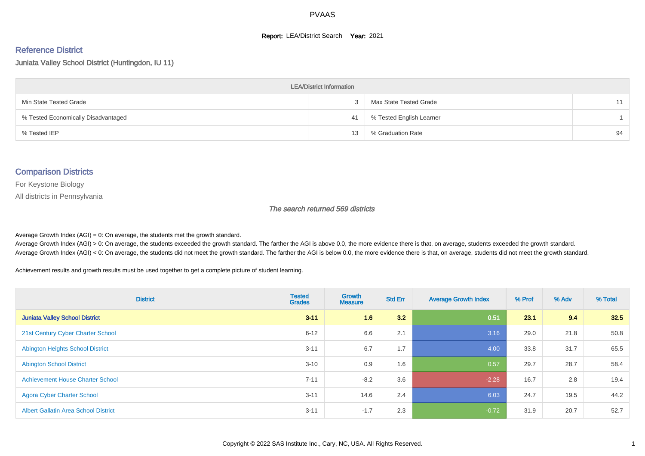#### **Report: LEA/District Search Year: 2021**

#### Reference District

Juniata Valley School District (Huntingdon, IU 11)

| <b>LEA/District Information</b>     |    |                          |    |  |  |  |  |  |  |
|-------------------------------------|----|--------------------------|----|--|--|--|--|--|--|
| Min State Tested Grade              |    | Max State Tested Grade   | 11 |  |  |  |  |  |  |
| % Tested Economically Disadvantaged | 41 | % Tested English Learner |    |  |  |  |  |  |  |
| % Tested IEP                        | 13 | % Graduation Rate        | 94 |  |  |  |  |  |  |

#### Comparison Districts

For Keystone Biology

All districts in Pennsylvania

The search returned 569 districts

Average Growth Index  $(AGI) = 0$ : On average, the students met the growth standard.

Average Growth Index (AGI) > 0: On average, the students exceeded the growth standard. The farther the AGI is above 0.0, the more evidence there is that, on average, students exceeded the growth standard. Average Growth Index (AGI) < 0: On average, the students did not meet the growth standard. The farther the AGI is below 0.0, the more evidence there is that, on average, students did not meet the growth standard.

Achievement results and growth results must be used together to get a complete picture of student learning.

| <b>District</b>                             | <b>Tested</b><br><b>Grades</b> | <b>Growth</b><br><b>Measure</b> | <b>Std Err</b> | <b>Average Growth Index</b> | % Prof | % Adv | % Total |
|---------------------------------------------|--------------------------------|---------------------------------|----------------|-----------------------------|--------|-------|---------|
| <b>Juniata Valley School District</b>       | $3 - 11$                       | 1.6                             | 3.2            | 0.51                        | 23.1   | 9.4   | 32.5    |
| 21st Century Cyber Charter School           | $6 - 12$                       | 6.6                             | 2.1            | 3.16                        | 29.0   | 21.8  | 50.8    |
| <b>Abington Heights School District</b>     | $3 - 11$                       | 6.7                             | 1.7            | 4.00                        | 33.8   | 31.7  | 65.5    |
| <b>Abington School District</b>             | $3 - 10$                       | 0.9                             | 1.6            | 0.57                        | 29.7   | 28.7  | 58.4    |
| <b>Achievement House Charter School</b>     | $7 - 11$                       | $-8.2$                          | 3.6            | $-2.28$                     | 16.7   | 2.8   | 19.4    |
| <b>Agora Cyber Charter School</b>           | $3 - 11$                       | 14.6                            | 2.4            | 6.03                        | 24.7   | 19.5  | 44.2    |
| <b>Albert Gallatin Area School District</b> | $3 - 11$                       | $-1.7$                          | 2.3            | $-0.72$                     | 31.9   | 20.7  | 52.7    |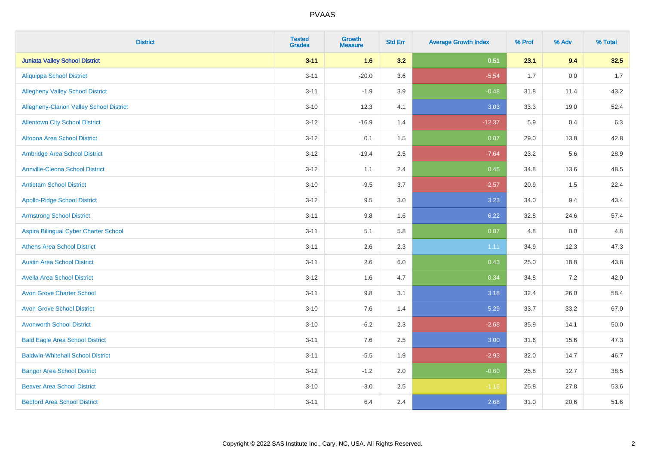| <b>District</b>                                 | <b>Tested</b><br><b>Grades</b> | <b>Growth</b><br><b>Measure</b> | <b>Std Err</b> | <b>Average Growth Index</b> | % Prof | % Adv   | % Total |
|-------------------------------------------------|--------------------------------|---------------------------------|----------------|-----------------------------|--------|---------|---------|
| <b>Juniata Valley School District</b>           | $3 - 11$                       | 1.6                             | 3.2            | 0.51                        | 23.1   | 9.4     | 32.5    |
| <b>Aliquippa School District</b>                | $3 - 11$                       | $-20.0$                         | 3.6            | $-5.54$                     | 1.7    | $0.0\,$ | 1.7     |
| <b>Allegheny Valley School District</b>         | $3 - 11$                       | $-1.9$                          | 3.9            | $-0.48$                     | 31.8   | 11.4    | 43.2    |
| <b>Allegheny-Clarion Valley School District</b> | $3 - 10$                       | 12.3                            | 4.1            | 3.03                        | 33.3   | 19.0    | 52.4    |
| <b>Allentown City School District</b>           | $3 - 12$                       | $-16.9$                         | 1.4            | $-12.37$                    | 5.9    | 0.4     | 6.3     |
| Altoona Area School District                    | $3 - 12$                       | 0.1                             | 1.5            | 0.07                        | 29.0   | 13.8    | 42.8    |
| Ambridge Area School District                   | $3 - 12$                       | $-19.4$                         | 2.5            | $-7.64$                     | 23.2   | 5.6     | 28.9    |
| <b>Annville-Cleona School District</b>          | $3 - 12$                       | 1.1                             | 2.4            | 0.45                        | 34.8   | 13.6    | 48.5    |
| <b>Antietam School District</b>                 | $3 - 10$                       | $-9.5$                          | 3.7            | $-2.57$                     | 20.9   | 1.5     | 22.4    |
| <b>Apollo-Ridge School District</b>             | $3-12$                         | 9.5                             | 3.0            | 3.23                        | 34.0   | 9.4     | 43.4    |
| <b>Armstrong School District</b>                | $3 - 11$                       | 9.8                             | 1.6            | 6.22                        | 32.8   | 24.6    | 57.4    |
| Aspira Bilingual Cyber Charter School           | $3 - 11$                       | 5.1                             | 5.8            | 0.87                        | 4.8    | 0.0     | 4.8     |
| <b>Athens Area School District</b>              | $3 - 11$                       | 2.6                             | 2.3            | 1.11                        | 34.9   | 12.3    | 47.3    |
| <b>Austin Area School District</b>              | $3 - 11$                       | 2.6                             | 6.0            | 0.43                        | 25.0   | 18.8    | 43.8    |
| <b>Avella Area School District</b>              | $3 - 12$                       | 1.6                             | 4.7            | 0.34                        | 34.8   | 7.2     | 42.0    |
| <b>Avon Grove Charter School</b>                | $3 - 11$                       | 9.8                             | 3.1            | 3.18                        | 32.4   | 26.0    | 58.4    |
| <b>Avon Grove School District</b>               | $3 - 10$                       | 7.6                             | 1.4            | 5.29                        | 33.7   | 33.2    | 67.0    |
| <b>Avonworth School District</b>                | $3 - 10$                       | $-6.2$                          | 2.3            | $-2.68$                     | 35.9   | 14.1    | 50.0    |
| <b>Bald Eagle Area School District</b>          | $3 - 11$                       | 7.6                             | 2.5            | 3.00                        | 31.6   | 15.6    | 47.3    |
| <b>Baldwin-Whitehall School District</b>        | $3 - 11$                       | $-5.5$                          | 1.9            | $-2.93$                     | 32.0   | 14.7    | 46.7    |
| <b>Bangor Area School District</b>              | $3 - 12$                       | $-1.2$                          | 2.0            | $-0.60$                     | 25.8   | 12.7    | 38.5    |
| <b>Beaver Area School District</b>              | $3 - 10$                       | $-3.0$                          | 2.5            | $-1.16$                     | 25.8   | 27.8    | 53.6    |
| <b>Bedford Area School District</b>             | $3 - 11$                       | 6.4                             | 2.4            | 2.68                        | 31.0   | 20.6    | 51.6    |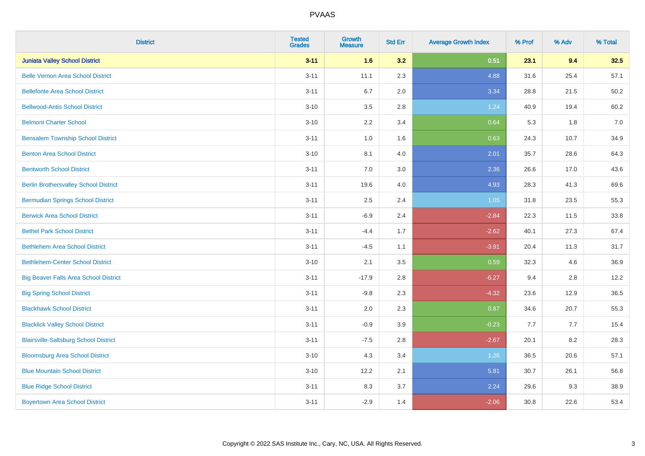| <b>District</b>                              | <b>Tested</b><br><b>Grades</b> | <b>Growth</b><br><b>Measure</b> | <b>Std Err</b> | <b>Average Growth Index</b> | % Prof | % Adv | % Total |
|----------------------------------------------|--------------------------------|---------------------------------|----------------|-----------------------------|--------|-------|---------|
| <b>Juniata Valley School District</b>        | $3 - 11$                       | 1.6                             | 3.2            | 0.51                        | 23.1   | 9.4   | 32.5    |
| <b>Belle Vernon Area School District</b>     | $3 - 11$                       | 11.1                            | 2.3            | 4.88                        | 31.6   | 25.4  | 57.1    |
| <b>Bellefonte Area School District</b>       | $3 - 11$                       | 6.7                             | 2.0            | 3.34                        | 28.8   | 21.5  | 50.2    |
| <b>Bellwood-Antis School District</b>        | $3 - 10$                       | 3.5                             | 2.8            | 1.24                        | 40.9   | 19.4  | 60.2    |
| <b>Belmont Charter School</b>                | $3 - 10$                       | 2.2                             | 3.4            | 0.64                        | 5.3    | 1.8   | 7.0     |
| <b>Bensalem Township School District</b>     | $3 - 11$                       | 1.0                             | 1.6            | 0.63                        | 24.3   | 10.7  | 34.9    |
| <b>Benton Area School District</b>           | $3 - 10$                       | 8.1                             | 4.0            | 2.01                        | 35.7   | 28.6  | 64.3    |
| <b>Bentworth School District</b>             | $3 - 11$                       | 7.0                             | 3.0            | 2.36                        | 26.6   | 17.0  | 43.6    |
| <b>Berlin Brothersvalley School District</b> | $3 - 11$                       | 19.6                            | 4.0            | 4.93                        | 28.3   | 41.3  | 69.6    |
| <b>Bermudian Springs School District</b>     | $3 - 11$                       | 2.5                             | 2.4            | 1.05                        | 31.8   | 23.5  | 55.3    |
| <b>Berwick Area School District</b>          | $3 - 11$                       | $-6.9$                          | 2.4            | $-2.84$                     | 22.3   | 11.5  | 33.8    |
| <b>Bethel Park School District</b>           | $3 - 11$                       | $-4.4$                          | 1.7            | $-2.62$                     | 40.1   | 27.3  | 67.4    |
| <b>Bethlehem Area School District</b>        | $3 - 11$                       | $-4.5$                          | 1.1            | $-3.91$                     | 20.4   | 11.3  | 31.7    |
| <b>Bethlehem-Center School District</b>      | $3 - 10$                       | 2.1                             | $3.5\,$        | 0.59                        | 32.3   | 4.6   | 36.9    |
| <b>Big Beaver Falls Area School District</b> | $3 - 11$                       | $-17.9$                         | 2.8            | $-6.27$                     | 9.4    | 2.8   | 12.2    |
| <b>Big Spring School District</b>            | $3 - 11$                       | $-9.8$                          | 2.3            | $-4.32$                     | 23.6   | 12.9  | 36.5    |
| <b>Blackhawk School District</b>             | $3 - 11$                       | 2.0                             | 2.3            | 0.87                        | 34.6   | 20.7  | 55.3    |
| <b>Blacklick Valley School District</b>      | $3 - 11$                       | $-0.9$                          | 3.9            | $-0.23$                     | 7.7    | 7.7   | 15.4    |
| <b>Blairsville-Saltsburg School District</b> | $3 - 11$                       | $-7.5$                          | 2.8            | $-2.67$                     | 20.1   | 8.2   | 28.3    |
| <b>Bloomsburg Area School District</b>       | $3 - 10$                       | 4.3                             | 3.4            | 1.26                        | 36.5   | 20.6  | 57.1    |
| <b>Blue Mountain School District</b>         | $3 - 10$                       | 12.2                            | 2.1            | 5.81                        | 30.7   | 26.1  | 56.8    |
| <b>Blue Ridge School District</b>            | $3 - 11$                       | 8.3                             | 3.7            | 2.24                        | 29.6   | 9.3   | 38.9    |
| <b>Boyertown Area School District</b>        | $3 - 11$                       | $-2.9$                          | 1.4            | $-2.06$                     | 30.8   | 22.6  | 53.4    |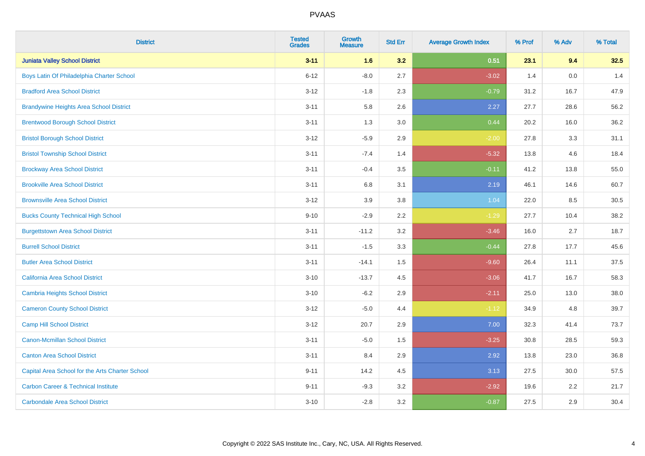| <b>District</b>                                 | <b>Tested</b><br><b>Grades</b> | <b>Growth</b><br><b>Measure</b> | <b>Std Err</b> | <b>Average Growth Index</b> | % Prof | % Adv | % Total |
|-------------------------------------------------|--------------------------------|---------------------------------|----------------|-----------------------------|--------|-------|---------|
| <b>Juniata Valley School District</b>           | $3 - 11$                       | 1.6                             | 3.2            | 0.51                        | 23.1   | 9.4   | 32.5    |
| Boys Latin Of Philadelphia Charter School       | $6 - 12$                       | $-8.0$                          | 2.7            | $-3.02$                     | 1.4    | 0.0   | 1.4     |
| <b>Bradford Area School District</b>            | $3 - 12$                       | $-1.8$                          | 2.3            | $-0.79$                     | 31.2   | 16.7  | 47.9    |
| <b>Brandywine Heights Area School District</b>  | $3 - 11$                       | 5.8                             | 2.6            | 2.27                        | 27.7   | 28.6  | 56.2    |
| <b>Brentwood Borough School District</b>        | $3 - 11$                       | 1.3                             | 3.0            | 0.44                        | 20.2   | 16.0  | 36.2    |
| <b>Bristol Borough School District</b>          | $3 - 12$                       | $-5.9$                          | 2.9            | $-2.00$                     | 27.8   | 3.3   | 31.1    |
| <b>Bristol Township School District</b>         | $3 - 11$                       | $-7.4$                          | 1.4            | $-5.32$                     | 13.8   | 4.6   | 18.4    |
| <b>Brockway Area School District</b>            | $3 - 11$                       | $-0.4$                          | 3.5            | $-0.11$                     | 41.2   | 13.8  | 55.0    |
| <b>Brookville Area School District</b>          | $3 - 11$                       | $6.8\,$                         | 3.1            | 2.19                        | 46.1   | 14.6  | 60.7    |
| <b>Brownsville Area School District</b>         | $3 - 12$                       | 3.9                             | 3.8            | 1.04                        | 22.0   | 8.5   | 30.5    |
| <b>Bucks County Technical High School</b>       | $9 - 10$                       | $-2.9$                          | 2.2            | $-1.29$                     | 27.7   | 10.4  | 38.2    |
| <b>Burgettstown Area School District</b>        | $3 - 11$                       | $-11.2$                         | 3.2            | $-3.46$                     | 16.0   | 2.7   | 18.7    |
| <b>Burrell School District</b>                  | $3 - 11$                       | $-1.5$                          | 3.3            | $-0.44$                     | 27.8   | 17.7  | 45.6    |
| <b>Butler Area School District</b>              | $3 - 11$                       | $-14.1$                         | 1.5            | $-9.60$                     | 26.4   | 11.1  | 37.5    |
| <b>California Area School District</b>          | $3 - 10$                       | $-13.7$                         | 4.5            | $-3.06$                     | 41.7   | 16.7  | 58.3    |
| <b>Cambria Heights School District</b>          | $3 - 10$                       | $-6.2$                          | 2.9            | $-2.11$                     | 25.0   | 13.0  | 38.0    |
| <b>Cameron County School District</b>           | $3 - 12$                       | $-5.0$                          | 4.4            | $-1.12$                     | 34.9   | 4.8   | 39.7    |
| <b>Camp Hill School District</b>                | $3 - 12$                       | 20.7                            | 2.9            | 7.00                        | 32.3   | 41.4  | 73.7    |
| <b>Canon-Mcmillan School District</b>           | $3 - 11$                       | $-5.0$                          | 1.5            | $-3.25$                     | 30.8   | 28.5  | 59.3    |
| <b>Canton Area School District</b>              | $3 - 11$                       | 8.4                             | 2.9            | 2.92                        | 13.8   | 23.0  | 36.8    |
| Capital Area School for the Arts Charter School | $9 - 11$                       | 14.2                            | 4.5            | 3.13                        | 27.5   | 30.0  | 57.5    |
| <b>Carbon Career &amp; Technical Institute</b>  | $9 - 11$                       | $-9.3$                          | 3.2            | $-2.92$                     | 19.6   | 2.2   | 21.7    |
| <b>Carbondale Area School District</b>          | $3 - 10$                       | $-2.8$                          | 3.2            | $-0.87$                     | 27.5   | 2.9   | 30.4    |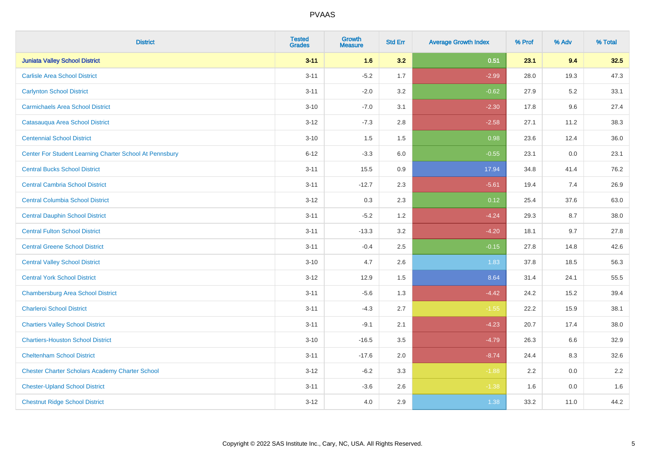| <b>District</b>                                         | <b>Tested</b><br><b>Grades</b> | <b>Growth</b><br><b>Measure</b> | <b>Std Err</b> | <b>Average Growth Index</b> | % Prof | % Adv | % Total |
|---------------------------------------------------------|--------------------------------|---------------------------------|----------------|-----------------------------|--------|-------|---------|
| <b>Juniata Valley School District</b>                   | $3 - 11$                       | 1.6                             | 3.2            | 0.51                        | 23.1   | 9.4   | 32.5    |
| <b>Carlisle Area School District</b>                    | $3 - 11$                       | $-5.2$                          | 1.7            | $-2.99$                     | 28.0   | 19.3  | 47.3    |
| <b>Carlynton School District</b>                        | $3 - 11$                       | $-2.0$                          | 3.2            | $-0.62$                     | 27.9   | 5.2   | 33.1    |
| <b>Carmichaels Area School District</b>                 | $3 - 10$                       | $-7.0$                          | 3.1            | $-2.30$                     | 17.8   | 9.6   | 27.4    |
| Catasauqua Area School District                         | $3 - 12$                       | $-7.3$                          | 2.8            | $-2.58$                     | 27.1   | 11.2  | 38.3    |
| <b>Centennial School District</b>                       | $3 - 10$                       | 1.5                             | 1.5            | 0.98                        | 23.6   | 12.4  | 36.0    |
| Center For Student Learning Charter School At Pennsbury | $6 - 12$                       | $-3.3$                          | 6.0            | $-0.55$                     | 23.1   | 0.0   | 23.1    |
| <b>Central Bucks School District</b>                    | $3 - 11$                       | 15.5                            | 0.9            | 17.94                       | 34.8   | 41.4  | 76.2    |
| <b>Central Cambria School District</b>                  | $3 - 11$                       | $-12.7$                         | 2.3            | $-5.61$                     | 19.4   | 7.4   | 26.9    |
| <b>Central Columbia School District</b>                 | $3 - 12$                       | $0.3\,$                         | 2.3            | 0.12                        | 25.4   | 37.6  | 63.0    |
| <b>Central Dauphin School District</b>                  | $3 - 11$                       | $-5.2$                          | 1.2            | $-4.24$                     | 29.3   | 8.7   | 38.0    |
| <b>Central Fulton School District</b>                   | $3 - 11$                       | $-13.3$                         | 3.2            | $-4.20$                     | 18.1   | 9.7   | 27.8    |
| <b>Central Greene School District</b>                   | $3 - 11$                       | $-0.4$                          | 2.5            | $-0.15$                     | 27.8   | 14.8  | 42.6    |
| <b>Central Valley School District</b>                   | $3 - 10$                       | 4.7                             | 2.6            | 1.83                        | 37.8   | 18.5  | 56.3    |
| <b>Central York School District</b>                     | $3 - 12$                       | 12.9                            | 1.5            | 8.64                        | 31.4   | 24.1  | 55.5    |
| <b>Chambersburg Area School District</b>                | $3 - 11$                       | $-5.6$                          | 1.3            | $-4.42$                     | 24.2   | 15.2  | 39.4    |
| <b>Charleroi School District</b>                        | $3 - 11$                       | $-4.3$                          | 2.7            | $-1.55$                     | 22.2   | 15.9  | 38.1    |
| <b>Chartiers Valley School District</b>                 | $3 - 11$                       | $-9.1$                          | 2.1            | $-4.23$                     | 20.7   | 17.4  | 38.0    |
| <b>Chartiers-Houston School District</b>                | $3 - 10$                       | $-16.5$                         | 3.5            | $-4.79$                     | 26.3   | 6.6   | 32.9    |
| <b>Cheltenham School District</b>                       | $3 - 11$                       | $-17.6$                         | 2.0            | $-8.74$                     | 24.4   | 8.3   | 32.6    |
| <b>Chester Charter Scholars Academy Charter School</b>  | $3 - 12$                       | $-6.2$                          | 3.3            | $-1.88$                     | 2.2    | 0.0   | 2.2     |
| <b>Chester-Upland School District</b>                   | $3 - 11$                       | $-3.6$                          | 2.6            | $-1.38$                     | 1.6    | 0.0   | 1.6     |
| <b>Chestnut Ridge School District</b>                   | $3 - 12$                       | 4.0                             | 2.9            | 1.38                        | 33.2   | 11.0  | 44.2    |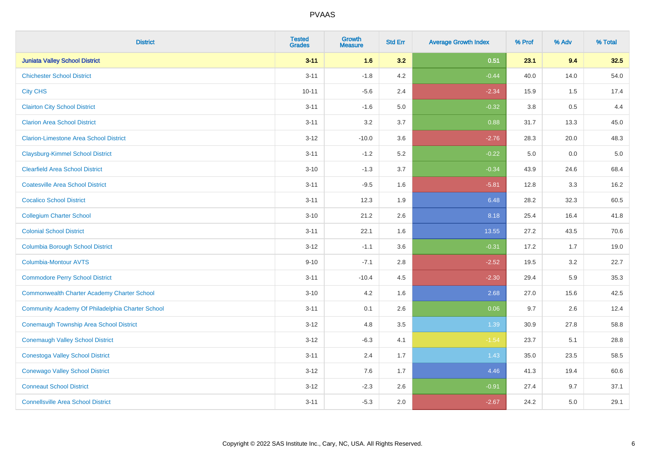| <b>District</b>                                    | <b>Tested</b><br><b>Grades</b> | <b>Growth</b><br><b>Measure</b> | <b>Std Err</b> | <b>Average Growth Index</b> | % Prof  | % Adv | % Total |
|----------------------------------------------------|--------------------------------|---------------------------------|----------------|-----------------------------|---------|-------|---------|
| <b>Juniata Valley School District</b>              | $3 - 11$                       | 1.6                             | 3.2            | 0.51                        | 23.1    | 9.4   | 32.5    |
| <b>Chichester School District</b>                  | $3 - 11$                       | $-1.8$                          | 4.2            | $-0.44$                     | 40.0    | 14.0  | 54.0    |
| <b>City CHS</b>                                    | $10 - 11$                      | $-5.6$                          | 2.4            | $-2.34$                     | 15.9    | 1.5   | 17.4    |
| <b>Clairton City School District</b>               | $3 - 11$                       | $-1.6$                          | 5.0            | $-0.32$                     | $3.8\,$ | 0.5   | 4.4     |
| <b>Clarion Area School District</b>                | $3 - 11$                       | 3.2                             | 3.7            | 0.88                        | 31.7    | 13.3  | 45.0    |
| <b>Clarion-Limestone Area School District</b>      | $3 - 12$                       | $-10.0$                         | 3.6            | $-2.76$                     | 28.3    | 20.0  | 48.3    |
| <b>Claysburg-Kimmel School District</b>            | $3 - 11$                       | $-1.2$                          | 5.2            | $-0.22$                     | 5.0     | 0.0   | $5.0$   |
| <b>Clearfield Area School District</b>             | $3 - 10$                       | $-1.3$                          | 3.7            | $-0.34$                     | 43.9    | 24.6  | 68.4    |
| <b>Coatesville Area School District</b>            | $3 - 11$                       | $-9.5$                          | 1.6            | $-5.81$                     | 12.8    | 3.3   | 16.2    |
| <b>Cocalico School District</b>                    | $3 - 11$                       | 12.3                            | 1.9            | 6.48                        | 28.2    | 32.3  | 60.5    |
| <b>Collegium Charter School</b>                    | $3 - 10$                       | 21.2                            | 2.6            | 8.18                        | 25.4    | 16.4  | 41.8    |
| <b>Colonial School District</b>                    | $3 - 11$                       | 22.1                            | 1.6            | 13.55                       | 27.2    | 43.5  | 70.6    |
| <b>Columbia Borough School District</b>            | $3 - 12$                       | $-1.1$                          | 3.6            | $-0.31$                     | 17.2    | 1.7   | 19.0    |
| Columbia-Montour AVTS                              | $9 - 10$                       | $-7.1$                          | 2.8            | $-2.52$                     | 19.5    | 3.2   | 22.7    |
| <b>Commodore Perry School District</b>             | $3 - 11$                       | $-10.4$                         | 4.5            | $-2.30$                     | 29.4    | 5.9   | 35.3    |
| <b>Commonwealth Charter Academy Charter School</b> | $3 - 10$                       | 4.2                             | 1.6            | 2.68                        | 27.0    | 15.6  | 42.5    |
| Community Academy Of Philadelphia Charter School   | $3 - 11$                       | 0.1                             | 2.6            | 0.06                        | 9.7     | 2.6   | 12.4    |
| Conemaugh Township Area School District            | $3 - 12$                       | 4.8                             | 3.5            | 1.39                        | 30.9    | 27.8  | 58.8    |
| <b>Conemaugh Valley School District</b>            | $3 - 12$                       | $-6.3$                          | 4.1            | $-1.54$                     | 23.7    | 5.1   | 28.8    |
| <b>Conestoga Valley School District</b>            | $3 - 11$                       | 2.4                             | 1.7            | 1.43                        | 35.0    | 23.5  | 58.5    |
| <b>Conewago Valley School District</b>             | $3 - 12$                       | 7.6                             | 1.7            | 4.46                        | 41.3    | 19.4  | 60.6    |
| <b>Conneaut School District</b>                    | $3 - 12$                       | $-2.3$                          | 2.6            | $-0.91$                     | 27.4    | 9.7   | 37.1    |
| <b>Connellsville Area School District</b>          | $3 - 11$                       | $-5.3$                          | 2.0            | $-2.67$                     | 24.2    | 5.0   | 29.1    |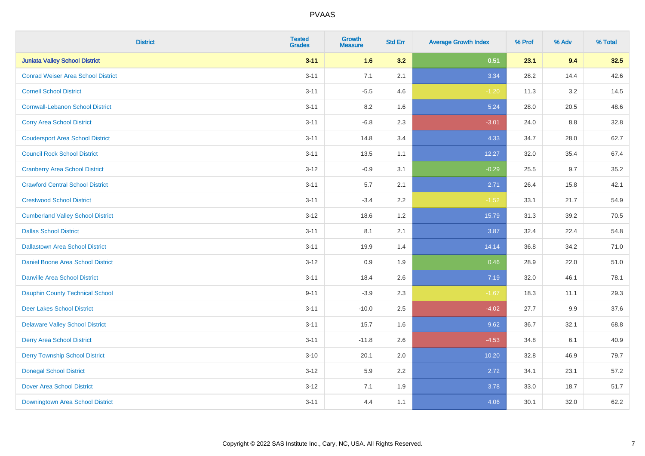| <b>District</b>                           | <b>Tested</b><br><b>Grades</b> | <b>Growth</b><br><b>Measure</b> | <b>Std Err</b> | <b>Average Growth Index</b> | % Prof | % Adv | % Total |
|-------------------------------------------|--------------------------------|---------------------------------|----------------|-----------------------------|--------|-------|---------|
| <b>Juniata Valley School District</b>     | $3 - 11$                       | 1.6                             | 3.2            | 0.51                        | 23.1   | 9.4   | 32.5    |
| <b>Conrad Weiser Area School District</b> | $3 - 11$                       | 7.1                             | 2.1            | 3.34                        | 28.2   | 14.4  | 42.6    |
| <b>Cornell School District</b>            | $3 - 11$                       | $-5.5$                          | 4.6            | $-1.20$                     | 11.3   | 3.2   | 14.5    |
| <b>Cornwall-Lebanon School District</b>   | $3 - 11$                       | 8.2                             | 1.6            | 5.24                        | 28.0   | 20.5  | 48.6    |
| <b>Corry Area School District</b>         | $3 - 11$                       | $-6.8$                          | 2.3            | $-3.01$                     | 24.0   | 8.8   | 32.8    |
| <b>Coudersport Area School District</b>   | $3 - 11$                       | 14.8                            | 3.4            | 4.33                        | 34.7   | 28.0  | 62.7    |
| <b>Council Rock School District</b>       | $3 - 11$                       | 13.5                            | 1.1            | 12.27                       | 32.0   | 35.4  | 67.4    |
| <b>Cranberry Area School District</b>     | $3 - 12$                       | $-0.9$                          | 3.1            | $-0.29$                     | 25.5   | 9.7   | 35.2    |
| <b>Crawford Central School District</b>   | $3 - 11$                       | 5.7                             | 2.1            | 2.71                        | 26.4   | 15.8  | 42.1    |
| <b>Crestwood School District</b>          | $3 - 11$                       | $-3.4$                          | 2.2            | $-1.52$                     | 33.1   | 21.7  | 54.9    |
| <b>Cumberland Valley School District</b>  | $3 - 12$                       | 18.6                            | 1.2            | 15.79                       | 31.3   | 39.2  | 70.5    |
| <b>Dallas School District</b>             | $3 - 11$                       | 8.1                             | 2.1            | 3.87                        | 32.4   | 22.4  | 54.8    |
| <b>Dallastown Area School District</b>    | $3 - 11$                       | 19.9                            | 1.4            | 14.14                       | 36.8   | 34.2  | 71.0    |
| <b>Daniel Boone Area School District</b>  | $3-12$                         | 0.9                             | 1.9            | 0.46                        | 28.9   | 22.0  | 51.0    |
| <b>Danville Area School District</b>      | $3 - 11$                       | 18.4                            | 2.6            | 7.19                        | 32.0   | 46.1  | 78.1    |
| <b>Dauphin County Technical School</b>    | $9 - 11$                       | $-3.9$                          | 2.3            | $-1.67$                     | 18.3   | 11.1  | 29.3    |
| <b>Deer Lakes School District</b>         | $3 - 11$                       | $-10.0$                         | 2.5            | $-4.02$                     | 27.7   | 9.9   | 37.6    |
| <b>Delaware Valley School District</b>    | $3 - 11$                       | 15.7                            | 1.6            | 9.62                        | 36.7   | 32.1  | 68.8    |
| <b>Derry Area School District</b>         | $3 - 11$                       | $-11.8$                         | 2.6            | $-4.53$                     | 34.8   | 6.1   | 40.9    |
| <b>Derry Township School District</b>     | $3 - 10$                       | 20.1                            | 2.0            | 10.20                       | 32.8   | 46.9  | 79.7    |
| <b>Donegal School District</b>            | $3-12$                         | 5.9                             | 2.2            | 2.72                        | 34.1   | 23.1  | 57.2    |
| <b>Dover Area School District</b>         | $3 - 12$                       | 7.1                             | 1.9            | 3.78                        | 33.0   | 18.7  | 51.7    |
| <b>Downingtown Area School District</b>   | $3 - 11$                       | 4.4                             | 1.1            | 4.06                        | 30.1   | 32.0  | 62.2    |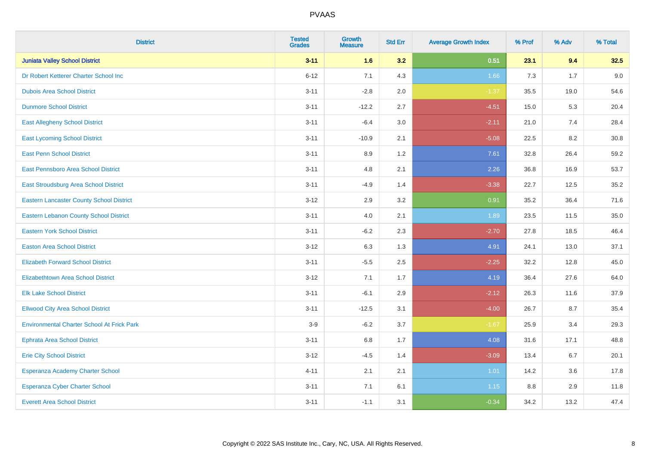| <b>District</b>                                   | <b>Tested</b><br><b>Grades</b> | <b>Growth</b><br><b>Measure</b> | <b>Std Err</b> | <b>Average Growth Index</b> | % Prof | % Adv | % Total |
|---------------------------------------------------|--------------------------------|---------------------------------|----------------|-----------------------------|--------|-------|---------|
| <b>Juniata Valley School District</b>             | $3 - 11$                       | 1.6                             | 3.2            | 0.51                        | 23.1   | 9.4   | 32.5    |
| Dr Robert Ketterer Charter School Inc             | $6 - 12$                       | 7.1                             | 4.3            | 1.66                        | 7.3    | 1.7   | 9.0     |
| <b>Dubois Area School District</b>                | $3 - 11$                       | $-2.8$                          | 2.0            | $-1.37$                     | 35.5   | 19.0  | 54.6    |
| <b>Dunmore School District</b>                    | $3 - 11$                       | $-12.2$                         | 2.7            | $-4.51$                     | 15.0   | 5.3   | 20.4    |
| <b>East Allegheny School District</b>             | $3 - 11$                       | $-6.4$                          | 3.0            | $-2.11$                     | 21.0   | 7.4   | 28.4    |
| <b>East Lycoming School District</b>              | $3 - 11$                       | $-10.9$                         | 2.1            | $-5.08$                     | 22.5   | 8.2   | 30.8    |
| <b>East Penn School District</b>                  | $3 - 11$                       | 8.9                             | 1.2            | 7.61                        | 32.8   | 26.4  | 59.2    |
| East Pennsboro Area School District               | $3 - 11$                       | 4.8                             | 2.1            | 2.26                        | 36.8   | 16.9  | 53.7    |
| East Stroudsburg Area School District             | $3 - 11$                       | $-4.9$                          | 1.4            | $-3.38$                     | 22.7   | 12.5  | 35.2    |
| <b>Eastern Lancaster County School District</b>   | $3 - 12$                       | 2.9                             | 3.2            | 0.91                        | 35.2   | 36.4  | 71.6    |
| <b>Eastern Lebanon County School District</b>     | $3 - 11$                       | 4.0                             | 2.1            | 1.89                        | 23.5   | 11.5  | 35.0    |
| <b>Eastern York School District</b>               | $3 - 11$                       | $-6.2$                          | 2.3            | $-2.70$                     | 27.8   | 18.5  | 46.4    |
| <b>Easton Area School District</b>                | $3 - 12$                       | 6.3                             | 1.3            | 4.91                        | 24.1   | 13.0  | 37.1    |
| <b>Elizabeth Forward School District</b>          | $3 - 11$                       | $-5.5$                          | 2.5            | $-2.25$                     | 32.2   | 12.8  | 45.0    |
| <b>Elizabethtown Area School District</b>         | $3 - 12$                       | 7.1                             | 1.7            | 4.19                        | 36.4   | 27.6  | 64.0    |
| <b>Elk Lake School District</b>                   | $3 - 11$                       | $-6.1$                          | 2.9            | $-2.12$                     | 26.3   | 11.6  | 37.9    |
| <b>Ellwood City Area School District</b>          | $3 - 11$                       | $-12.5$                         | 3.1            | $-4.00$                     | 26.7   | 8.7   | 35.4    |
| <b>Environmental Charter School At Frick Park</b> | $3-9$                          | $-6.2$                          | 3.7            | $-1.67$                     | 25.9   | 3.4   | 29.3    |
| <b>Ephrata Area School District</b>               | $3 - 11$                       | $6.8\,$                         | 1.7            | 4.08                        | 31.6   | 17.1  | 48.8    |
| <b>Erie City School District</b>                  | $3 - 12$                       | $-4.5$                          | 1.4            | $-3.09$                     | 13.4   | 6.7   | 20.1    |
| Esperanza Academy Charter School                  | $4 - 11$                       | 2.1                             | 2.1            | 1.01                        | 14.2   | 3.6   | 17.8    |
| <b>Esperanza Cyber Charter School</b>             | $3 - 11$                       | 7.1                             | 6.1            | 1.15                        | 8.8    | 2.9   | 11.8    |
| <b>Everett Area School District</b>               | $3 - 11$                       | $-1.1$                          | 3.1            | $-0.34$                     | 34.2   | 13.2  | 47.4    |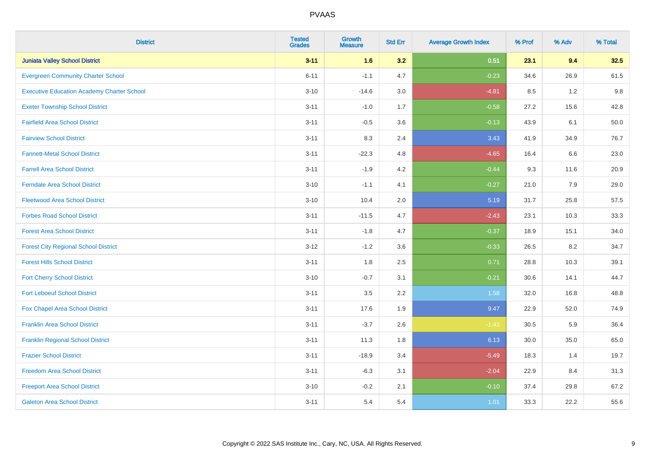| <b>District</b>                                   | <b>Tested</b><br><b>Grades</b> | <b>Growth</b><br><b>Measure</b> | <b>Std Err</b> | <b>Average Growth Index</b> | % Prof | % Adv   | % Total |
|---------------------------------------------------|--------------------------------|---------------------------------|----------------|-----------------------------|--------|---------|---------|
| <b>Juniata Valley School District</b>             | $3 - 11$                       | 1.6                             | 3.2            | 0.51                        | 23.1   | 9.4     | 32.5    |
| <b>Evergreen Community Charter School</b>         | $6 - 11$                       | $-1.1$                          | 4.7            | $-0.23$                     | 34.6   | 26.9    | 61.5    |
| <b>Executive Education Academy Charter School</b> | $3 - 10$                       | $-14.6$                         | 3.0            | $-4.81$                     | 8.5    | 1.2     | 9.8     |
| <b>Exeter Township School District</b>            | $3 - 11$                       | $-1.0$                          | 1.7            | $-0.58$                     | 27.2   | 15.6    | 42.8    |
| <b>Fairfield Area School District</b>             | $3 - 11$                       | $-0.5$                          | 3.6            | $-0.13$                     | 43.9   | 6.1     | 50.0    |
| <b>Fairview School District</b>                   | $3 - 11$                       | 8.3                             | 2.4            | 3.43                        | 41.9   | 34.9    | 76.7    |
| <b>Fannett-Metal School District</b>              | $3 - 11$                       | $-22.3$                         | 4.8            | $-4.65$                     | 16.4   | 6.6     | 23.0    |
| <b>Farrell Area School District</b>               | $3 - 11$                       | $-1.9$                          | 4.2            | $-0.44$                     | 9.3    | 11.6    | 20.9    |
| <b>Ferndale Area School District</b>              | $3 - 10$                       | $-1.1$                          | 4.1            | $-0.27$                     | 21.0   | 7.9     | 29.0    |
| <b>Fleetwood Area School District</b>             | $3 - 10$                       | 10.4                            | 2.0            | 5.19                        | 31.7   | 25.8    | 57.5    |
| <b>Forbes Road School District</b>                | $3 - 11$                       | $-11.5$                         | 4.7            | $-2.43$                     | 23.1   | 10.3    | 33.3    |
| <b>Forest Area School District</b>                | $3 - 11$                       | $-1.8$                          | 4.7            | $-0.37$                     | 18.9   | 15.1    | 34.0    |
| <b>Forest City Regional School District</b>       | $3 - 12$                       | $-1.2$                          | 3.6            | $-0.33$                     | 26.5   | $8.2\,$ | 34.7    |
| <b>Forest Hills School District</b>               | $3 - 11$                       | 1.8                             | 2.5            | 0.71                        | 28.8   | 10.3    | 39.1    |
| <b>Fort Cherry School District</b>                | $3 - 10$                       | $-0.7$                          | 3.1            | $-0.21$                     | 30.6   | 14.1    | 44.7    |
| <b>Fort Leboeuf School District</b>               | $3 - 11$                       | 3.5                             | 2.2            | 1.58                        | 32.0   | 16.8    | 48.8    |
| Fox Chapel Area School District                   | $3 - 11$                       | 17.6                            | 1.9            | 9.47                        | 22.9   | 52.0    | 74.9    |
| <b>Franklin Area School District</b>              | $3 - 11$                       | $-3.7$                          | 2.6            | $-1.43$                     | 30.5   | 5.9     | 36.4    |
| <b>Franklin Regional School District</b>          | $3 - 11$                       | 11.3                            | 1.8            | 6.13                        | 30.0   | 35.0    | 65.0    |
| <b>Frazier School District</b>                    | $3 - 11$                       | $-18.9$                         | 3.4            | $-5.49$                     | 18.3   | 1.4     | 19.7    |
| <b>Freedom Area School District</b>               | $3 - 11$                       | $-6.3$                          | 3.1            | $-2.04$                     | 22.9   | 8.4     | 31.3    |
| <b>Freeport Area School District</b>              | $3 - 10$                       | $-0.2$                          | 2.1            | $-0.10$                     | 37.4   | 29.8    | 67.2    |
| <b>Galeton Area School District</b>               | $3 - 11$                       | 5.4                             | 5.4            | 1.01                        | 33.3   | 22.2    | 55.6    |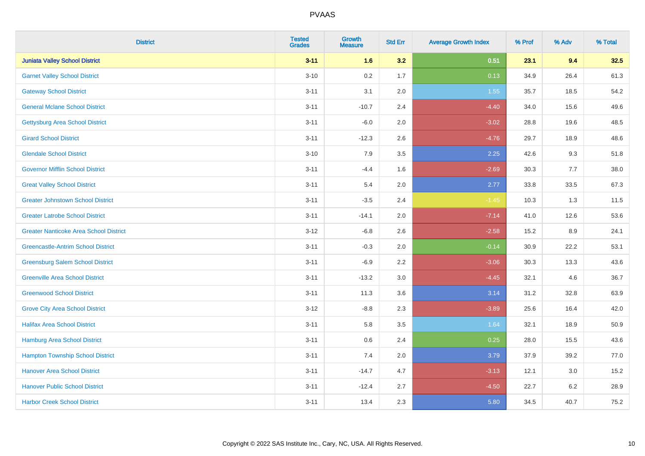| <b>District</b>                               | <b>Tested</b><br><b>Grades</b> | <b>Growth</b><br><b>Measure</b> | <b>Std Err</b> | <b>Average Growth Index</b> | % Prof | % Adv   | % Total |
|-----------------------------------------------|--------------------------------|---------------------------------|----------------|-----------------------------|--------|---------|---------|
| <b>Juniata Valley School District</b>         | $3 - 11$                       | 1.6                             | 3.2            | 0.51                        | 23.1   | 9.4     | 32.5    |
| <b>Garnet Valley School District</b>          | $3 - 10$                       | 0.2                             | 1.7            | 0.13                        | 34.9   | 26.4    | 61.3    |
| <b>Gateway School District</b>                | $3 - 11$                       | 3.1                             | 2.0            | 1.55                        | 35.7   | 18.5    | 54.2    |
| <b>General Mclane School District</b>         | $3 - 11$                       | $-10.7$                         | 2.4            | $-4.40$                     | 34.0   | 15.6    | 49.6    |
| <b>Gettysburg Area School District</b>        | $3 - 11$                       | $-6.0$                          | 2.0            | $-3.02$                     | 28.8   | 19.6    | 48.5    |
| <b>Girard School District</b>                 | $3 - 11$                       | $-12.3$                         | 2.6            | $-4.76$                     | 29.7   | 18.9    | 48.6    |
| <b>Glendale School District</b>               | $3 - 10$                       | 7.9                             | 3.5            | 2.25                        | 42.6   | 9.3     | 51.8    |
| <b>Governor Mifflin School District</b>       | $3 - 11$                       | $-4.4$                          | 1.6            | $-2.69$                     | 30.3   | 7.7     | 38.0    |
| <b>Great Valley School District</b>           | $3 - 11$                       | 5.4                             | 2.0            | 2.77                        | 33.8   | 33.5    | 67.3    |
| <b>Greater Johnstown School District</b>      | $3 - 11$                       | $-3.5$                          | 2.4            | $-1.45$                     | 10.3   | 1.3     | 11.5    |
| <b>Greater Latrobe School District</b>        | $3 - 11$                       | $-14.1$                         | 2.0            | $-7.14$                     | 41.0   | 12.6    | 53.6    |
| <b>Greater Nanticoke Area School District</b> | $3 - 12$                       | $-6.8$                          | 2.6            | $-2.58$                     | 15.2   | 8.9     | 24.1    |
| <b>Greencastle-Antrim School District</b>     | $3 - 11$                       | $-0.3$                          | 2.0            | $-0.14$                     | 30.9   | 22.2    | 53.1    |
| <b>Greensburg Salem School District</b>       | $3 - 11$                       | $-6.9$                          | 2.2            | $-3.06$                     | 30.3   | 13.3    | 43.6    |
| <b>Greenville Area School District</b>        | $3 - 11$                       | $-13.2$                         | 3.0            | $-4.45$                     | 32.1   | 4.6     | 36.7    |
| <b>Greenwood School District</b>              | $3 - 11$                       | 11.3                            | 3.6            | 3.14                        | 31.2   | 32.8    | 63.9    |
| <b>Grove City Area School District</b>        | $3 - 12$                       | $-8.8$                          | 2.3            | $-3.89$                     | 25.6   | 16.4    | 42.0    |
| <b>Halifax Area School District</b>           | $3 - 11$                       | 5.8                             | 3.5            | 1.64                        | 32.1   | 18.9    | 50.9    |
| <b>Hamburg Area School District</b>           | $3 - 11$                       | 0.6                             | 2.4            | 0.25                        | 28.0   | 15.5    | 43.6    |
| <b>Hampton Township School District</b>       | $3 - 11$                       | 7.4                             | 2.0            | 3.79                        | 37.9   | 39.2    | 77.0    |
| <b>Hanover Area School District</b>           | $3 - 11$                       | $-14.7$                         | 4.7            | $-3.13$                     | 12.1   | 3.0     | 15.2    |
| <b>Hanover Public School District</b>         | $3 - 11$                       | $-12.4$                         | 2.7            | $-4.50$                     | 22.7   | $6.2\,$ | 28.9    |
| <b>Harbor Creek School District</b>           | $3 - 11$                       | 13.4                            | 2.3            | 5.80                        | 34.5   | 40.7    | 75.2    |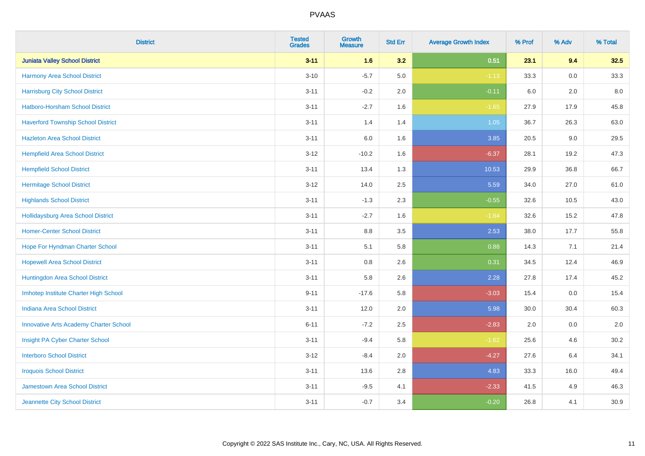| <b>District</b>                               | <b>Tested</b><br><b>Grades</b> | <b>Growth</b><br><b>Measure</b> | <b>Std Err</b> | <b>Average Growth Index</b> | % Prof | % Adv   | % Total |
|-----------------------------------------------|--------------------------------|---------------------------------|----------------|-----------------------------|--------|---------|---------|
| <b>Juniata Valley School District</b>         | $3 - 11$                       | 1.6                             | 3.2            | 0.51                        | 23.1   | 9.4     | 32.5    |
| Harmony Area School District                  | $3 - 10$                       | $-5.7$                          | 5.0            | $-1.13$                     | 33.3   | 0.0     | 33.3    |
| <b>Harrisburg City School District</b>        | $3 - 11$                       | $-0.2$                          | 2.0            | $-0.11$                     | 6.0    | 2.0     | 8.0     |
| <b>Hatboro-Horsham School District</b>        | $3 - 11$                       | $-2.7$                          | 1.6            | $-1.65$                     | 27.9   | 17.9    | 45.8    |
| <b>Haverford Township School District</b>     | $3 - 11$                       | 1.4                             | 1.4            | 1.05                        | 36.7   | 26.3    | 63.0    |
| <b>Hazleton Area School District</b>          | $3 - 11$                       | 6.0                             | 1.6            | 3.85                        | 20.5   | $9.0\,$ | 29.5    |
| <b>Hempfield Area School District</b>         | $3 - 12$                       | $-10.2$                         | 1.6            | $-6.37$                     | 28.1   | 19.2    | 47.3    |
| <b>Hempfield School District</b>              | $3 - 11$                       | 13.4                            | 1.3            | 10.53                       | 29.9   | 36.8    | 66.7    |
| <b>Hermitage School District</b>              | $3 - 12$                       | 14.0                            | 2.5            | 5.59                        | 34.0   | 27.0    | 61.0    |
| <b>Highlands School District</b>              | $3 - 11$                       | $-1.3$                          | 2.3            | $-0.55$                     | 32.6   | 10.5    | 43.0    |
| <b>Hollidaysburg Area School District</b>     | $3 - 11$                       | $-2.7$                          | 1.6            | $-1.64$                     | 32.6   | 15.2    | 47.8    |
| <b>Homer-Center School District</b>           | $3 - 11$                       | 8.8                             | 3.5            | 2.53                        | 38.0   | 17.7    | 55.8    |
| Hope For Hyndman Charter School               | $3 - 11$                       | 5.1                             | 5.8            | 0.88                        | 14.3   | 7.1     | 21.4    |
| <b>Hopewell Area School District</b>          | $3 - 11$                       | 0.8                             | 2.6            | 0.31                        | 34.5   | 12.4    | 46.9    |
| Huntingdon Area School District               | $3 - 11$                       | 5.8                             | 2.6            | 2.28                        | 27.8   | 17.4    | 45.2    |
| Imhotep Institute Charter High School         | $9 - 11$                       | $-17.6$                         | 5.8            | $-3.03$                     | 15.4   | 0.0     | 15.4    |
| <b>Indiana Area School District</b>           | $3 - 11$                       | 12.0                            | 2.0            | 5.98                        | 30.0   | 30.4    | 60.3    |
| <b>Innovative Arts Academy Charter School</b> | $6 - 11$                       | $-7.2$                          | 2.5            | $-2.83$                     | 2.0    | 0.0     | 2.0     |
| Insight PA Cyber Charter School               | $3 - 11$                       | $-9.4$                          | 5.8            | $-1.62$                     | 25.6   | 4.6     | 30.2    |
| <b>Interboro School District</b>              | $3 - 12$                       | $-8.4$                          | 2.0            | $-4.27$                     | 27.6   | 6.4     | 34.1    |
| <b>Iroquois School District</b>               | $3 - 11$                       | 13.6                            | 2.8            | 4.83                        | 33.3   | 16.0    | 49.4    |
| <b>Jamestown Area School District</b>         | $3 - 11$                       | $-9.5$                          | 4.1            | $-2.33$                     | 41.5   | 4.9     | 46.3    |
| Jeannette City School District                | $3 - 11$                       | $-0.7$                          | 3.4            | $-0.20$                     | 26.8   | 4.1     | 30.9    |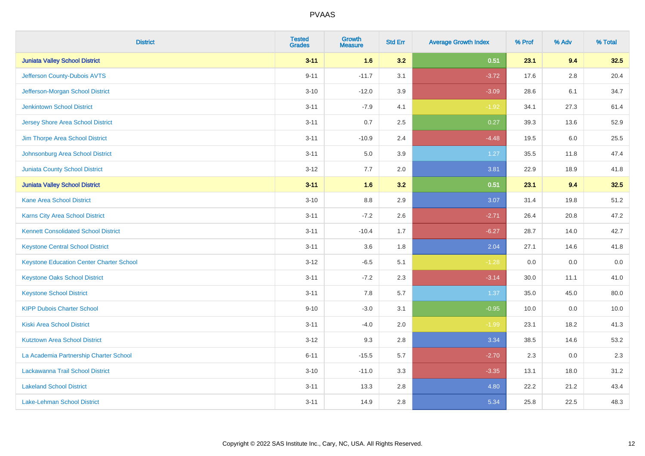| <b>District</b>                                 | <b>Tested</b><br><b>Grades</b> | <b>Growth</b><br><b>Measure</b> | <b>Std Err</b> | <b>Average Growth Index</b> | % Prof | % Adv | % Total |
|-------------------------------------------------|--------------------------------|---------------------------------|----------------|-----------------------------|--------|-------|---------|
| <b>Juniata Valley School District</b>           | $3 - 11$                       | 1.6                             | 3.2            | 0.51                        | 23.1   | 9.4   | 32.5    |
| Jefferson County-Dubois AVTS                    | $9 - 11$                       | $-11.7$                         | 3.1            | $-3.72$                     | 17.6   | 2.8   | 20.4    |
| Jefferson-Morgan School District                | $3 - 10$                       | $-12.0$                         | 3.9            | $-3.09$                     | 28.6   | 6.1   | 34.7    |
| <b>Jenkintown School District</b>               | $3 - 11$                       | $-7.9$                          | 4.1            | $-1.92$                     | 34.1   | 27.3  | 61.4    |
| <b>Jersey Shore Area School District</b>        | $3 - 11$                       | 0.7                             | 2.5            | 0.27                        | 39.3   | 13.6  | 52.9    |
| Jim Thorpe Area School District                 | $3 - 11$                       | $-10.9$                         | 2.4            | $-4.48$                     | 19.5   | 6.0   | 25.5    |
| Johnsonburg Area School District                | $3 - 11$                       | 5.0                             | 3.9            | 1.27                        | 35.5   | 11.8  | 47.4    |
| <b>Juniata County School District</b>           | $3 - 12$                       | 7.7                             | 2.0            | 3.81                        | 22.9   | 18.9  | 41.8    |
| <b>Juniata Valley School District</b>           | $3 - 11$                       | 1.6                             | 3.2            | 0.51                        | 23.1   | 9.4   | 32.5    |
| <b>Kane Area School District</b>                | $3 - 10$                       | 8.8                             | 2.9            | 3.07                        | 31.4   | 19.8  | 51.2    |
| Karns City Area School District                 | $3 - 11$                       | $-7.2$                          | 2.6            | $-2.71$                     | 26.4   | 20.8  | 47.2    |
| <b>Kennett Consolidated School District</b>     | $3 - 11$                       | $-10.4$                         | 1.7            | $-6.27$                     | 28.7   | 14.0  | 42.7    |
| <b>Keystone Central School District</b>         | $3 - 11$                       | 3.6                             | 1.8            | 2.04                        | 27.1   | 14.6  | 41.8    |
| <b>Keystone Education Center Charter School</b> | $3 - 12$                       | $-6.5$                          | 5.1            | $-1.28$                     | 0.0    | 0.0   | 0.0     |
| <b>Keystone Oaks School District</b>            | $3 - 11$                       | $-7.2$                          | 2.3            | $-3.14$                     | 30.0   | 11.1  | 41.0    |
| <b>Keystone School District</b>                 | $3 - 11$                       | 7.8                             | 5.7            | 1.37                        | 35.0   | 45.0  | 80.0    |
| <b>KIPP Dubois Charter School</b>               | $9 - 10$                       | $-3.0$                          | 3.1            | $-0.95$                     | 10.0   | 0.0   | 10.0    |
| <b>Kiski Area School District</b>               | $3 - 11$                       | $-4.0$                          | 2.0            | $-1.99$                     | 23.1   | 18.2  | 41.3    |
| <b>Kutztown Area School District</b>            | $3 - 12$                       | 9.3                             | 2.8            | 3.34                        | 38.5   | 14.6  | 53.2    |
| La Academia Partnership Charter School          | $6 - 11$                       | $-15.5$                         | 5.7            | $-2.70$                     | 2.3    | 0.0   | 2.3     |
| Lackawanna Trail School District                | $3 - 10$                       | $-11.0$                         | 3.3            | $-3.35$                     | 13.1   | 18.0  | 31.2    |
| <b>Lakeland School District</b>                 | $3 - 11$                       | 13.3                            | 2.8            | 4.80                        | 22.2   | 21.2  | 43.4    |
| Lake-Lehman School District                     | $3 - 11$                       | 14.9                            | 2.8            | 5.34                        | 25.8   | 22.5  | 48.3    |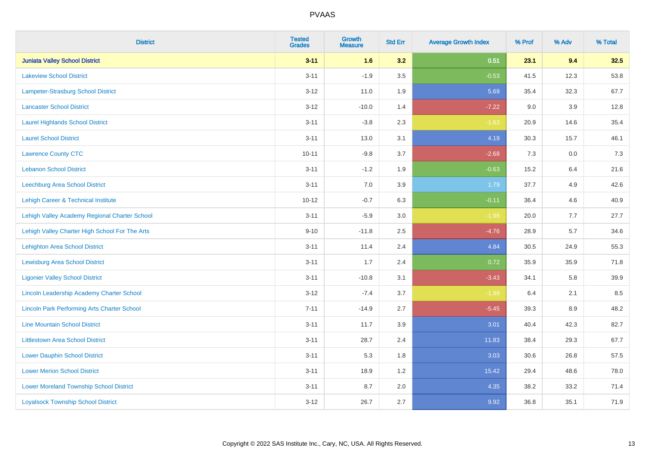| <b>District</b>                                    | <b>Tested</b><br><b>Grades</b> | <b>Growth</b><br><b>Measure</b> | <b>Std Err</b> | <b>Average Growth Index</b> | % Prof | % Adv   | % Total |
|----------------------------------------------------|--------------------------------|---------------------------------|----------------|-----------------------------|--------|---------|---------|
| <b>Juniata Valley School District</b>              | $3 - 11$                       | 1.6                             | 3.2            | 0.51                        | 23.1   | 9.4     | 32.5    |
| <b>Lakeview School District</b>                    | $3 - 11$                       | $-1.9$                          | 3.5            | $-0.53$                     | 41.5   | 12.3    | 53.8    |
| Lampeter-Strasburg School District                 | $3 - 12$                       | 11.0                            | 1.9            | 5.69                        | 35.4   | 32.3    | 67.7    |
| <b>Lancaster School District</b>                   | $3 - 12$                       | $-10.0$                         | 1.4            | $-7.22$                     | 9.0    | $3.9\,$ | 12.8    |
| <b>Laurel Highlands School District</b>            | $3 - 11$                       | $-3.8$                          | 2.3            | $-1.63$                     | 20.9   | 14.6    | 35.4    |
| <b>Laurel School District</b>                      | $3 - 11$                       | 13.0                            | 3.1            | 4.19                        | 30.3   | 15.7    | 46.1    |
| <b>Lawrence County CTC</b>                         | $10 - 11$                      | $-9.8$                          | 3.7            | $-2.68$                     | 7.3    | 0.0     | $7.3$   |
| <b>Lebanon School District</b>                     | $3 - 11$                       | $-1.2$                          | 1.9            | $-0.63$                     | 15.2   | 6.4     | 21.6    |
| Leechburg Area School District                     | $3 - 11$                       | 7.0                             | 3.9            | 1.79                        | 37.7   | 4.9     | 42.6    |
| Lehigh Career & Technical Institute                | $10 - 12$                      | $-0.7$                          | 6.3            | $-0.11$                     | 36.4   | 4.6     | 40.9    |
| Lehigh Valley Academy Regional Charter School      | $3 - 11$                       | $-5.9$                          | 3.0            | $-1.98$                     | 20.0   | 7.7     | 27.7    |
| Lehigh Valley Charter High School For The Arts     | $9 - 10$                       | $-11.8$                         | 2.5            | $-4.76$                     | 28.9   | 5.7     | 34.6    |
| <b>Lehighton Area School District</b>              | $3 - 11$                       | 11.4                            | 2.4            | 4.84                        | 30.5   | 24.9    | 55.3    |
| Lewisburg Area School District                     | $3 - 11$                       | 1.7                             | 2.4            | 0.72                        | 35.9   | 35.9    | 71.8    |
| <b>Ligonier Valley School District</b>             | $3 - 11$                       | $-10.8$                         | 3.1            | $-3.43$                     | 34.1   | 5.8     | 39.9    |
| Lincoln Leadership Academy Charter School          | $3 - 12$                       | $-7.4$                          | 3.7            | $-1.99$                     | 6.4    | 2.1     | 8.5     |
| <b>Lincoln Park Performing Arts Charter School</b> | $7 - 11$                       | $-14.9$                         | 2.7            | $-5.45$                     | 39.3   | 8.9     | 48.2    |
| <b>Line Mountain School District</b>               | $3 - 11$                       | 11.7                            | 3.9            | 3.01                        | 40.4   | 42.3    | 82.7    |
| <b>Littlestown Area School District</b>            | $3 - 11$                       | 28.7                            | 2.4            | 11.83                       | 38.4   | 29.3    | 67.7    |
| <b>Lower Dauphin School District</b>               | $3 - 11$                       | 5.3                             | 1.8            | 3.03                        | 30.6   | 26.8    | 57.5    |
| <b>Lower Merion School District</b>                | $3 - 11$                       | 18.9                            | 1.2            | 15.42                       | 29.4   | 48.6    | 78.0    |
| <b>Lower Moreland Township School District</b>     | $3 - 11$                       | 8.7                             | 2.0            | 4.35                        | 38.2   | 33.2    | 71.4    |
| <b>Loyalsock Township School District</b>          | $3 - 12$                       | 26.7                            | 2.7            | 9.92                        | 36.8   | 35.1    | 71.9    |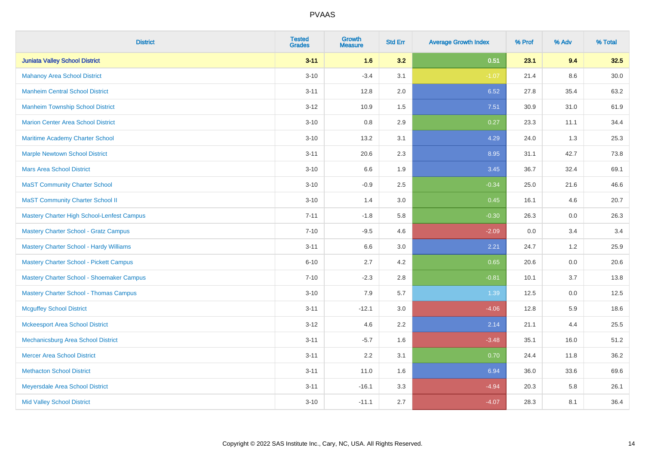| <b>District</b>                            | <b>Tested</b><br><b>Grades</b> | <b>Growth</b><br><b>Measure</b> | <b>Std Err</b> | <b>Average Growth Index</b> | % Prof | % Adv   | % Total |
|--------------------------------------------|--------------------------------|---------------------------------|----------------|-----------------------------|--------|---------|---------|
| <b>Juniata Valley School District</b>      | $3 - 11$                       | 1.6                             | 3.2            | 0.51                        | 23.1   | 9.4     | 32.5    |
| <b>Mahanoy Area School District</b>        | $3 - 10$                       | $-3.4$                          | 3.1            | $-1.07$                     | 21.4   | 8.6     | 30.0    |
| <b>Manheim Central School District</b>     | $3 - 11$                       | 12.8                            | 2.0            | 6.52                        | 27.8   | 35.4    | 63.2    |
| <b>Manheim Township School District</b>    | $3 - 12$                       | 10.9                            | 1.5            | 7.51                        | 30.9   | 31.0    | 61.9    |
| <b>Marion Center Area School District</b>  | $3 - 10$                       | 0.8                             | 2.9            | 0.27                        | 23.3   | 11.1    | 34.4    |
| Maritime Academy Charter School            | $3 - 10$                       | 13.2                            | 3.1            | 4.29                        | 24.0   | 1.3     | 25.3    |
| <b>Marple Newtown School District</b>      | $3 - 11$                       | 20.6                            | 2.3            | 8.95                        | 31.1   | 42.7    | 73.8    |
| <b>Mars Area School District</b>           | $3 - 10$                       | 6.6                             | 1.9            | 3.45                        | 36.7   | 32.4    | 69.1    |
| <b>MaST Community Charter School</b>       | $3 - 10$                       | $-0.9$                          | 2.5            | $-0.34$                     | 25.0   | 21.6    | 46.6    |
| <b>MaST Community Charter School II</b>    | $3 - 10$                       | 1.4                             | 3.0            | 0.45                        | 16.1   | 4.6     | 20.7    |
| Mastery Charter High School-Lenfest Campus | $7 - 11$                       | $-1.8$                          | 5.8            | $-0.30$                     | 26.3   | 0.0     | 26.3    |
| Mastery Charter School - Gratz Campus      | $7 - 10$                       | $-9.5$                          | 4.6            | $-2.09$                     | 0.0    | 3.4     | 3.4     |
| Mastery Charter School - Hardy Williams    | $3 - 11$                       | 6.6                             | $3.0\,$        | 2.21                        | 24.7   | $1.2$   | 25.9    |
| Mastery Charter School - Pickett Campus    | $6 - 10$                       | 2.7                             | 4.2            | 0.65                        | 20.6   | 0.0     | 20.6    |
| Mastery Charter School - Shoemaker Campus  | $7 - 10$                       | $-2.3$                          | 2.8            | $-0.81$                     | 10.1   | 3.7     | 13.8    |
| Mastery Charter School - Thomas Campus     | $3 - 10$                       | 7.9                             | 5.7            | 1.39                        | 12.5   | $0.0\,$ | 12.5    |
| <b>Mcguffey School District</b>            | $3 - 11$                       | $-12.1$                         | 3.0            | $-4.06$                     | 12.8   | 5.9     | 18.6    |
| <b>Mckeesport Area School District</b>     | $3 - 12$                       | 4.6                             | 2.2            | 2.14                        | 21.1   | 4.4     | 25.5    |
| Mechanicsburg Area School District         | $3 - 11$                       | $-5.7$                          | 1.6            | $-3.48$                     | 35.1   | 16.0    | 51.2    |
| <b>Mercer Area School District</b>         | $3 - 11$                       | 2.2                             | 3.1            | 0.70                        | 24.4   | 11.8    | 36.2    |
| <b>Methacton School District</b>           | $3 - 11$                       | 11.0                            | 1.6            | 6.94                        | 36.0   | 33.6    | 69.6    |
| Meyersdale Area School District            | $3 - 11$                       | $-16.1$                         | 3.3            | $-4.94$                     | 20.3   | 5.8     | 26.1    |
| <b>Mid Valley School District</b>          | $3 - 10$                       | $-11.1$                         | 2.7            | $-4.07$                     | 28.3   | 8.1     | 36.4    |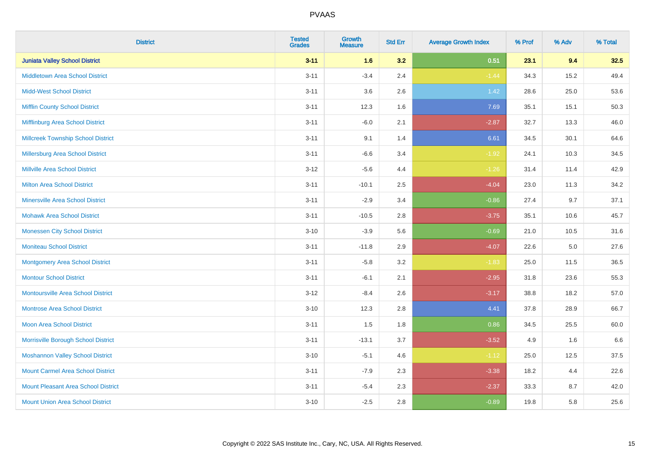| <b>District</b>                            | <b>Tested</b><br><b>Grades</b> | <b>Growth</b><br><b>Measure</b> | <b>Std Err</b> | <b>Average Growth Index</b> | % Prof | % Adv | % Total |
|--------------------------------------------|--------------------------------|---------------------------------|----------------|-----------------------------|--------|-------|---------|
| <b>Juniata Valley School District</b>      | $3 - 11$                       | 1.6                             | 3.2            | 0.51                        | 23.1   | 9.4   | 32.5    |
| <b>Middletown Area School District</b>     | $3 - 11$                       | $-3.4$                          | 2.4            | $-1.44$                     | 34.3   | 15.2  | 49.4    |
| <b>Midd-West School District</b>           | $3 - 11$                       | 3.6                             | 2.6            | $1.42$                      | 28.6   | 25.0  | 53.6    |
| <b>Mifflin County School District</b>      | $3 - 11$                       | 12.3                            | 1.6            | 7.69                        | 35.1   | 15.1  | 50.3    |
| Mifflinburg Area School District           | $3 - 11$                       | $-6.0$                          | 2.1            | $-2.87$                     | 32.7   | 13.3  | 46.0    |
| <b>Millcreek Township School District</b>  | $3 - 11$                       | 9.1                             | 1.4            | 6.61                        | 34.5   | 30.1  | 64.6    |
| <b>Millersburg Area School District</b>    | $3 - 11$                       | $-6.6$                          | 3.4            | $-1.92$                     | 24.1   | 10.3  | 34.5    |
| <b>Millville Area School District</b>      | $3-12$                         | $-5.6$                          | 4.4            | $-1.26$                     | 31.4   | 11.4  | 42.9    |
| Milton Area School District                | $3 - 11$                       | $-10.1$                         | 2.5            | $-4.04$                     | 23.0   | 11.3  | 34.2    |
| <b>Minersville Area School District</b>    | $3 - 11$                       | $-2.9$                          | 3.4            | $-0.86$                     | 27.4   | 9.7   | 37.1    |
| <b>Mohawk Area School District</b>         | $3 - 11$                       | $-10.5$                         | 2.8            | $-3.75$                     | 35.1   | 10.6  | 45.7    |
| <b>Monessen City School District</b>       | $3 - 10$                       | $-3.9$                          | 5.6            | $-0.69$                     | 21.0   | 10.5  | 31.6    |
| <b>Moniteau School District</b>            | $3 - 11$                       | $-11.8$                         | 2.9            | $-4.07$                     | 22.6   | 5.0   | 27.6    |
| <b>Montgomery Area School District</b>     | $3 - 11$                       | $-5.8$                          | 3.2            | $-1.83$                     | 25.0   | 11.5  | 36.5    |
| <b>Montour School District</b>             | $3 - 11$                       | $-6.1$                          | 2.1            | $-2.95$                     | 31.8   | 23.6  | 55.3    |
| <b>Montoursville Area School District</b>  | $3 - 12$                       | $-8.4$                          | 2.6            | $-3.17$                     | 38.8   | 18.2  | 57.0    |
| <b>Montrose Area School District</b>       | $3 - 10$                       | 12.3                            | 2.8            | 4.41                        | 37.8   | 28.9  | 66.7    |
| <b>Moon Area School District</b>           | $3 - 11$                       | 1.5                             | 1.8            | 0.86                        | 34.5   | 25.5  | 60.0    |
| Morrisville Borough School District        | $3 - 11$                       | $-13.1$                         | 3.7            | $-3.52$                     | 4.9    | 1.6   | 6.6     |
| <b>Moshannon Valley School District</b>    | $3 - 10$                       | $-5.1$                          | 4.6            | $-1.12$                     | 25.0   | 12.5  | 37.5    |
| <b>Mount Carmel Area School District</b>   | $3 - 11$                       | $-7.9$                          | 2.3            | $-3.38$                     | 18.2   | 4.4   | 22.6    |
| <b>Mount Pleasant Area School District</b> | $3 - 11$                       | $-5.4$                          | 2.3            | $-2.37$                     | 33.3   | 8.7   | 42.0    |
| <b>Mount Union Area School District</b>    | $3 - 10$                       | $-2.5$                          | 2.8            | $-0.89$                     | 19.8   | 5.8   | 25.6    |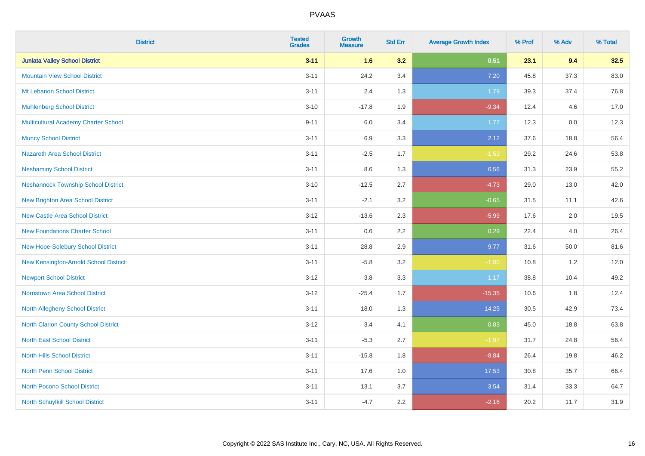| <b>District</b>                            | <b>Tested</b><br><b>Grades</b> | <b>Growth</b><br><b>Measure</b> | <b>Std Err</b> | <b>Average Growth Index</b> | % Prof | % Adv    | % Total |
|--------------------------------------------|--------------------------------|---------------------------------|----------------|-----------------------------|--------|----------|---------|
| <b>Juniata Valley School District</b>      | $3 - 11$                       | 1.6                             | 3.2            | 0.51                        | 23.1   | 9.4      | 32.5    |
| <b>Mountain View School District</b>       | $3 - 11$                       | 24.2                            | 3.4            | 7.20                        | 45.8   | 37.3     | 83.0    |
| Mt Lebanon School District                 | $3 - 11$                       | 2.4                             | 1.3            | 1.79                        | 39.3   | 37.4     | 76.8    |
| <b>Muhlenberg School District</b>          | $3 - 10$                       | $-17.8$                         | 1.9            | $-9.34$                     | 12.4   | 4.6      | 17.0    |
| Multicultural Academy Charter School       | $9 - 11$                       | 6.0                             | 3.4            | 1.77                        | 12.3   | 0.0      | 12.3    |
| <b>Muncy School District</b>               | $3 - 11$                       | 6.9                             | 3.3            | 2.12                        | 37.6   | 18.8     | 56.4    |
| <b>Nazareth Area School District</b>       | $3 - 11$                       | $-2.5$                          | 1.7            | $-1.53$                     | 29.2   | 24.6     | 53.8    |
| <b>Neshaminy School District</b>           | $3 - 11$                       | 8.6                             | 1.3            | 6.56                        | 31.3   | 23.9     | 55.2    |
| <b>Neshannock Township School District</b> | $3 - 10$                       | $-12.5$                         | 2.7            | $-4.73$                     | 29.0   | 13.0     | 42.0    |
| <b>New Brighton Area School District</b>   | $3 - 11$                       | $-2.1$                          | 3.2            | $-0.65$                     | 31.5   | 11.1     | 42.6    |
| <b>New Castle Area School District</b>     | $3 - 12$                       | $-13.6$                         | 2.3            | $-5.99$                     | 17.6   | 2.0      | 19.5    |
| <b>New Foundations Charter School</b>      | $3 - 11$                       | 0.6                             | 2.2            | 0.29                        | 22.4   | 4.0      | 26.4    |
| New Hope-Solebury School District          | $3 - 11$                       | 28.8                            | 2.9            | 9.77                        | 31.6   | $50.0\,$ | 81.6    |
| New Kensington-Arnold School District      | $3 - 11$                       | $-5.8$                          | 3.2            | $-1.80$                     | 10.8   | 1.2      | 12.0    |
| <b>Newport School District</b>             | $3-12$                         | $3.8\,$                         | 3.3            | 1.17                        | 38.8   | 10.4     | 49.2    |
| <b>Norristown Area School District</b>     | $3 - 12$                       | $-25.4$                         | 1.7            | $-15.35$                    | 10.6   | 1.8      | 12.4    |
| North Allegheny School District            | $3 - 11$                       | 18.0                            | 1.3            | 14.25                       | 30.5   | 42.9     | 73.4    |
| North Clarion County School District       | $3-12$                         | 3.4                             | 4.1            | 0.83                        | 45.0   | 18.8     | 63.8    |
| <b>North East School District</b>          | $3 - 11$                       | $-5.3$                          | 2.7            | $-1.97$                     | 31.7   | 24.8     | 56.4    |
| <b>North Hills School District</b>         | $3 - 11$                       | $-15.8$                         | 1.8            | $-8.84$                     | 26.4   | 19.8     | 46.2    |
| <b>North Penn School District</b>          | $3 - 11$                       | 17.6                            | 1.0            | 17.53                       | 30.8   | 35.7     | 66.4    |
| <b>North Pocono School District</b>        | $3 - 11$                       | 13.1                            | 3.7            | 3.54                        | 31.4   | 33.3     | 64.7    |
| North Schuylkill School District           | $3 - 11$                       | $-4.7$                          | 2.2            | $-2.16$                     | 20.2   | 11.7     | 31.9    |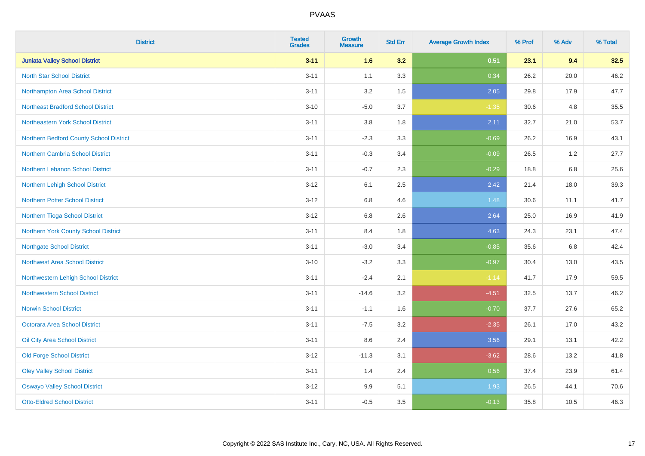| <b>District</b>                           | <b>Tested</b><br><b>Grades</b> | <b>Growth</b><br><b>Measure</b> | <b>Std Err</b> | <b>Average Growth Index</b> | % Prof | % Adv   | % Total |
|-------------------------------------------|--------------------------------|---------------------------------|----------------|-----------------------------|--------|---------|---------|
| <b>Juniata Valley School District</b>     | $3 - 11$                       | 1.6                             | 3.2            | 0.51                        | 23.1   | 9.4     | 32.5    |
| <b>North Star School District</b>         | $3 - 11$                       | 1.1                             | 3.3            | 0.34                        | 26.2   | 20.0    | 46.2    |
| Northampton Area School District          | $3 - 11$                       | 3.2                             | 1.5            | 2.05                        | 29.8   | 17.9    | 47.7    |
| <b>Northeast Bradford School District</b> | $3 - 10$                       | $-5.0$                          | 3.7            | $-1.35$                     | 30.6   | 4.8     | 35.5    |
| Northeastern York School District         | $3 - 11$                       | 3.8                             | 1.8            | 2.11                        | 32.7   | 21.0    | 53.7    |
| Northern Bedford County School District   | $3 - 11$                       | $-2.3$                          | 3.3            | $-0.69$                     | 26.2   | 16.9    | 43.1    |
| Northern Cambria School District          | $3 - 11$                       | $-0.3$                          | 3.4            | $-0.09$                     | 26.5   | 1.2     | 27.7    |
| Northern Lebanon School District          | $3 - 11$                       | $-0.7$                          | 2.3            | $-0.29$                     | 18.8   | 6.8     | 25.6    |
| Northern Lehigh School District           | $3 - 12$                       | 6.1                             | 2.5            | 2.42                        | 21.4   | 18.0    | 39.3    |
| Northern Potter School District           | $3 - 12$                       | 6.8                             | 4.6            | 1.48                        | 30.6   | 11.1    | 41.7    |
| Northern Tioga School District            | $3 - 12$                       | 6.8                             | 2.6            | 2.64                        | 25.0   | 16.9    | 41.9    |
| Northern York County School District      | $3 - 11$                       | 8.4                             | 1.8            | 4.63                        | 24.3   | 23.1    | 47.4    |
| <b>Northgate School District</b>          | $3 - 11$                       | $-3.0$                          | 3.4            | $-0.85$                     | 35.6   | $6.8\,$ | 42.4    |
| Northwest Area School District            | $3 - 10$                       | $-3.2$                          | 3.3            | $-0.97$                     | 30.4   | 13.0    | 43.5    |
| Northwestern Lehigh School District       | $3 - 11$                       | $-2.4$                          | 2.1            | $-1.14$                     | 41.7   | 17.9    | 59.5    |
| <b>Northwestern School District</b>       | $3 - 11$                       | $-14.6$                         | 3.2            | $-4.51$                     | 32.5   | 13.7    | 46.2    |
| <b>Norwin School District</b>             | $3 - 11$                       | $-1.1$                          | 1.6            | $-0.70$                     | 37.7   | 27.6    | 65.2    |
| <b>Octorara Area School District</b>      | $3 - 11$                       | $-7.5$                          | 3.2            | $-2.35$                     | 26.1   | 17.0    | 43.2    |
| Oil City Area School District             | $3 - 11$                       | 8.6                             | 2.4            | 3.56                        | 29.1   | 13.1    | 42.2    |
| <b>Old Forge School District</b>          | $3 - 12$                       | $-11.3$                         | 3.1            | $-3.62$                     | 28.6   | 13.2    | 41.8    |
| <b>Oley Valley School District</b>        | $3 - 11$                       | 1.4                             | 2.4            | 0.56                        | 37.4   | 23.9    | 61.4    |
| <b>Oswayo Valley School District</b>      | $3 - 12$                       | 9.9                             | 5.1            | 1.93                        | 26.5   | 44.1    | 70.6    |
| <b>Otto-Eldred School District</b>        | $3 - 11$                       | $-0.5$                          | 3.5            | $-0.13$                     | 35.8   | 10.5    | 46.3    |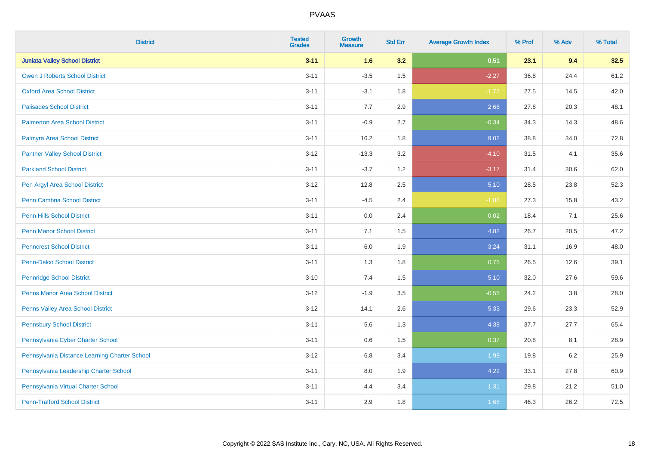| <b>District</b>                               | <b>Tested</b><br><b>Grades</b> | <b>Growth</b><br><b>Measure</b> | <b>Std Err</b> | <b>Average Growth Index</b> | % Prof | % Adv   | % Total |
|-----------------------------------------------|--------------------------------|---------------------------------|----------------|-----------------------------|--------|---------|---------|
| <b>Juniata Valley School District</b>         | $3 - 11$                       | 1.6                             | 3.2            | 0.51                        | 23.1   | 9.4     | 32.5    |
| <b>Owen J Roberts School District</b>         | $3 - 11$                       | $-3.5$                          | 1.5            | $-2.27$                     | 36.8   | 24.4    | 61.2    |
| <b>Oxford Area School District</b>            | $3 - 11$                       | $-3.1$                          | 1.8            | $-1.77$                     | 27.5   | 14.5    | 42.0    |
| <b>Palisades School District</b>              | $3 - 11$                       | 7.7                             | 2.9            | 2.66                        | 27.8   | 20.3    | 48.1    |
| <b>Palmerton Area School District</b>         | $3 - 11$                       | $-0.9$                          | 2.7            | $-0.34$                     | 34.3   | 14.3    | 48.6    |
| Palmyra Area School District                  | $3 - 11$                       | 16.2                            | 1.8            | 9.02                        | 38.8   | 34.0    | 72.8    |
| <b>Panther Valley School District</b>         | $3 - 12$                       | $-13.3$                         | 3.2            | $-4.10$                     | 31.5   | 4.1     | 35.6    |
| <b>Parkland School District</b>               | $3 - 11$                       | $-3.7$                          | 1.2            | $-3.17$                     | 31.4   | 30.6    | 62.0    |
| Pen Argyl Area School District                | $3 - 12$                       | 12.8                            | 2.5            | 5.10                        | 28.5   | 23.8    | 52.3    |
| Penn Cambria School District                  | $3 - 11$                       | $-4.5$                          | 2.4            | $-1.86$                     | 27.3   | 15.8    | 43.2    |
| <b>Penn Hills School District</b>             | $3 - 11$                       | 0.0                             | 2.4            | 0.02                        | 18.4   | 7.1     | 25.6    |
| <b>Penn Manor School District</b>             | $3 - 11$                       | 7.1                             | 1.5            | 4.82                        | 26.7   | 20.5    | 47.2    |
| <b>Penncrest School District</b>              | $3 - 11$                       | 6.0                             | 1.9            | 3.24                        | 31.1   | 16.9    | 48.0    |
| <b>Penn-Delco School District</b>             | $3 - 11$                       | 1.3                             | 1.8            | 0.75                        | 26.5   | 12.6    | 39.1    |
| <b>Pennridge School District</b>              | $3 - 10$                       | 7.4                             | 1.5            | 5.10                        | 32.0   | 27.6    | 59.6    |
| <b>Penns Manor Area School District</b>       | $3 - 12$                       | $-1.9$                          | $3.5\,$        | $-0.55$                     | 24.2   | $3.8\,$ | 28.0    |
| Penns Valley Area School District             | $3 - 12$                       | 14.1                            | 2.6            | 5.33                        | 29.6   | 23.3    | 52.9    |
| <b>Pennsbury School District</b>              | $3 - 11$                       | 5.6                             | 1.3            | 4.38                        | 37.7   | 27.7    | 65.4    |
| Pennsylvania Cyber Charter School             | $3 - 11$                       | 0.6                             | 1.5            | 0.37                        | 20.8   | 8.1     | 28.9    |
| Pennsylvania Distance Learning Charter School | $3 - 12$                       | 6.8                             | 3.4            | 1.99                        | 19.8   | 6.2     | 25.9    |
| Pennsylvania Leadership Charter School        | $3 - 11$                       | 8.0                             | 1.9            | 4.22                        | 33.1   | 27.8    | 60.9    |
| Pennsylvania Virtual Charter School           | $3 - 11$                       | 4.4                             | 3.4            | 1.31                        | 29.8   | 21.2    | 51.0    |
| <b>Penn-Trafford School District</b>          | $3 - 11$                       | 2.9                             | 1.8            | 1.68                        | 46.3   | 26.2    | 72.5    |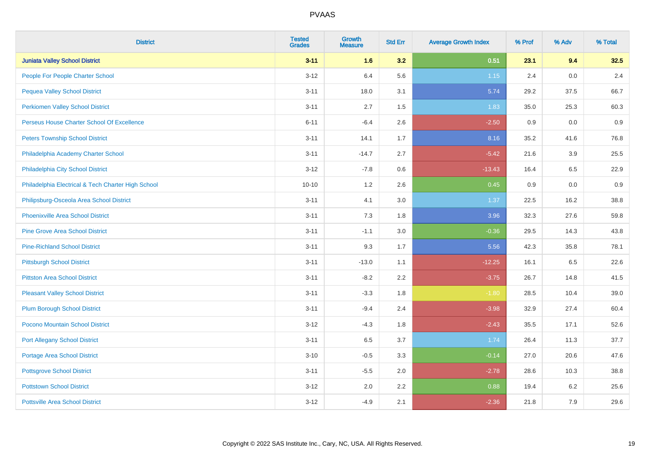| <b>District</b>                                    | <b>Tested</b><br><b>Grades</b> | <b>Growth</b><br><b>Measure</b> | <b>Std Err</b> | <b>Average Growth Index</b> | % Prof | % Adv | % Total |
|----------------------------------------------------|--------------------------------|---------------------------------|----------------|-----------------------------|--------|-------|---------|
| <b>Juniata Valley School District</b>              | $3 - 11$                       | 1.6                             | 3.2            | 0.51                        | 23.1   | 9.4   | 32.5    |
| People For People Charter School                   | $3 - 12$                       | 6.4                             | 5.6            | $1.15$                      | 2.4    | 0.0   | 2.4     |
| <b>Pequea Valley School District</b>               | $3 - 11$                       | 18.0                            | 3.1            | 5.74                        | 29.2   | 37.5  | 66.7    |
| <b>Perkiomen Valley School District</b>            | $3 - 11$                       | 2.7                             | 1.5            | 1.83                        | 35.0   | 25.3  | 60.3    |
| Perseus House Charter School Of Excellence         | $6 - 11$                       | $-6.4$                          | 2.6            | $-2.50$                     | 0.9    | 0.0   | 0.9     |
| <b>Peters Township School District</b>             | $3 - 11$                       | 14.1                            | 1.7            | 8.16                        | 35.2   | 41.6  | 76.8    |
| Philadelphia Academy Charter School                | $3 - 11$                       | $-14.7$                         | 2.7            | $-5.42$                     | 21.6   | 3.9   | 25.5    |
| Philadelphia City School District                  | $3 - 12$                       | $-7.8$                          | 0.6            | $-13.43$                    | 16.4   | 6.5   | 22.9    |
| Philadelphia Electrical & Tech Charter High School | $10 - 10$                      | 1.2                             | 2.6            | 0.45                        | 0.9    | 0.0   | 0.9     |
| Philipsburg-Osceola Area School District           | $3 - 11$                       | 4.1                             | 3.0            | 1.37                        | 22.5   | 16.2  | 38.8    |
| <b>Phoenixville Area School District</b>           | $3 - 11$                       | 7.3                             | 1.8            | 3.96                        | 32.3   | 27.6  | 59.8    |
| <b>Pine Grove Area School District</b>             | $3 - 11$                       | $-1.1$                          | 3.0            | $-0.36$                     | 29.5   | 14.3  | 43.8    |
| <b>Pine-Richland School District</b>               | $3 - 11$                       | 9.3                             | 1.7            | 5.56                        | 42.3   | 35.8  | 78.1    |
| <b>Pittsburgh School District</b>                  | $3 - 11$                       | $-13.0$                         | 1.1            | $-12.25$                    | 16.1   | 6.5   | 22.6    |
| <b>Pittston Area School District</b>               | $3 - 11$                       | $-8.2$                          | 2.2            | $-3.75$                     | 26.7   | 14.8  | 41.5    |
| <b>Pleasant Valley School District</b>             | $3 - 11$                       | $-3.3$                          | 1.8            | $-1.80$                     | 28.5   | 10.4  | 39.0    |
| <b>Plum Borough School District</b>                | $3 - 11$                       | $-9.4$                          | 2.4            | $-3.98$                     | 32.9   | 27.4  | 60.4    |
| Pocono Mountain School District                    | $3 - 12$                       | $-4.3$                          | 1.8            | $-2.43$                     | 35.5   | 17.1  | 52.6    |
| <b>Port Allegany School District</b>               | $3 - 11$                       | 6.5                             | 3.7            | 1.74                        | 26.4   | 11.3  | 37.7    |
| <b>Portage Area School District</b>                | $3 - 10$                       | $-0.5$                          | 3.3            | $-0.14$                     | 27.0   | 20.6  | 47.6    |
| <b>Pottsgrove School District</b>                  | $3 - 11$                       | $-5.5$                          | 2.0            | $-2.78$                     | 28.6   | 10.3  | 38.8    |
| <b>Pottstown School District</b>                   | $3 - 12$                       | 2.0                             | 2.2            | 0.88                        | 19.4   | 6.2   | 25.6    |
| <b>Pottsville Area School District</b>             | $3 - 12$                       | $-4.9$                          | 2.1            | $-2.36$                     | 21.8   | 7.9   | 29.6    |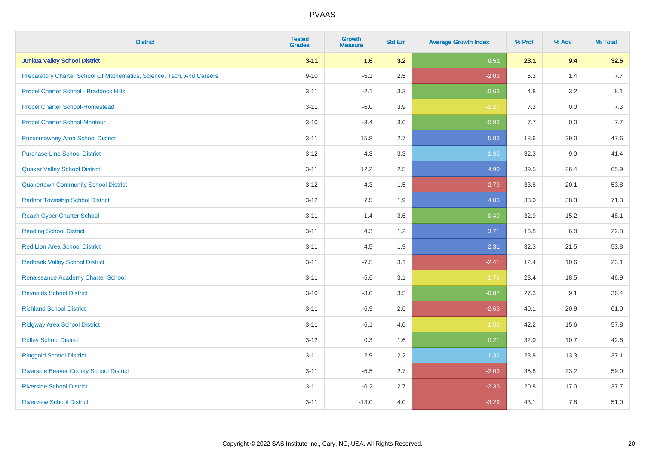| <b>District</b>                                                       | <b>Tested</b><br><b>Grades</b> | <b>Growth</b><br><b>Measure</b> | <b>Std Err</b> | <b>Average Growth Index</b> | % Prof | % Adv   | % Total |
|-----------------------------------------------------------------------|--------------------------------|---------------------------------|----------------|-----------------------------|--------|---------|---------|
| <b>Juniata Valley School District</b>                                 | $3 - 11$                       | 1.6                             | 3.2            | 0.51                        | 23.1   | 9.4     | 32.5    |
| Preparatory Charter School Of Mathematics, Science, Tech, And Careers | $9 - 10$                       | $-5.1$                          | 2.5            | $-2.03$                     | 6.3    | 1.4     | 7.7     |
| Propel Charter School - Braddock Hills                                | $3 - 11$                       | $-2.1$                          | 3.3            | $-0.63$                     | 4.8    | 3.2     | 8.1     |
| <b>Propel Charter School-Homestead</b>                                | $3 - 11$                       | $-5.0$                          | 3.9            | $-1.27$                     | 7.3    | $0.0\,$ | 7.3     |
| <b>Propel Charter School-Montour</b>                                  | $3 - 10$                       | $-3.4$                          | 3.6            | $-0.93$                     | 7.7    | 0.0     | 7.7     |
| <b>Punxsutawney Area School District</b>                              | $3 - 11$                       | 15.8                            | 2.7            | 5.83                        | 18.6   | 29.0    | 47.6    |
| <b>Purchase Line School District</b>                                  | $3 - 12$                       | 4.3                             | 3.3            | 1.30                        | 32.3   | 9.0     | 41.4    |
| <b>Quaker Valley School District</b>                                  | $3 - 11$                       | 12.2                            | 2.5            | 4.90                        | 39.5   | 26.4    | 65.9    |
| <b>Quakertown Community School District</b>                           | $3 - 12$                       | $-4.3$                          | 1.5            | $-2.79$                     | 33.8   | 20.1    | 53.8    |
| <b>Radnor Township School District</b>                                | $3 - 12$                       | 7.5                             | 1.9            | 4.03                        | 33.0   | 38.3    | 71.3    |
| <b>Reach Cyber Charter School</b>                                     | $3 - 11$                       | 1.4                             | 3.6            | 0.40                        | 32.9   | 15.2    | 48.1    |
| <b>Reading School District</b>                                        | $3 - 11$                       | 4.3                             | 1.2            | 3.71                        | 16.8   | 6.0     | 22.8    |
| Red Lion Area School District                                         | $3 - 11$                       | 4.5                             | 1.9            | 2.31                        | 32.3   | 21.5    | 53.8    |
| <b>Redbank Valley School District</b>                                 | $3 - 11$                       | $-7.5$                          | 3.1            | $-2.41$                     | 12.4   | 10.6    | 23.1    |
| Renaissance Academy Charter School                                    | $3 - 11$                       | $-5.6$                          | 3.1            | $-1.79$                     | 28.4   | 18.5    | 46.9    |
| <b>Reynolds School District</b>                                       | $3 - 10$                       | $-3.0$                          | 3.5            | $-0.87$                     | 27.3   | 9.1     | 36.4    |
| <b>Richland School District</b>                                       | $3 - 11$                       | $-6.9$                          | 2.6            | $-2.63$                     | 40.1   | 20.9    | 61.0    |
| <b>Ridgway Area School District</b>                                   | $3 - 11$                       | $-6.1$                          | 4.0            | $-1.53$                     | 42.2   | 15.6    | 57.8    |
| <b>Ridley School District</b>                                         | $3 - 12$                       | 0.3                             | 1.6            | 0.21                        | 32.0   | 10.7    | 42.6    |
| <b>Ringgold School District</b>                                       | $3 - 11$                       | 2.9                             | 2.2            | 1.32                        | 23.8   | 13.3    | 37.1    |
| <b>Riverside Beaver County School District</b>                        | $3 - 11$                       | $-5.5$                          | 2.7            | $-2.03$                     | 35.8   | 23.2    | 59.0    |
| <b>Riverside School District</b>                                      | $3 - 11$                       | $-6.2$                          | 2.7            | $-2.33$                     | 20.8   | 17.0    | 37.7    |
| <b>Riverview School District</b>                                      | $3 - 11$                       | $-13.0$                         | 4.0            | $-3.29$                     | 43.1   | 7.8     | 51.0    |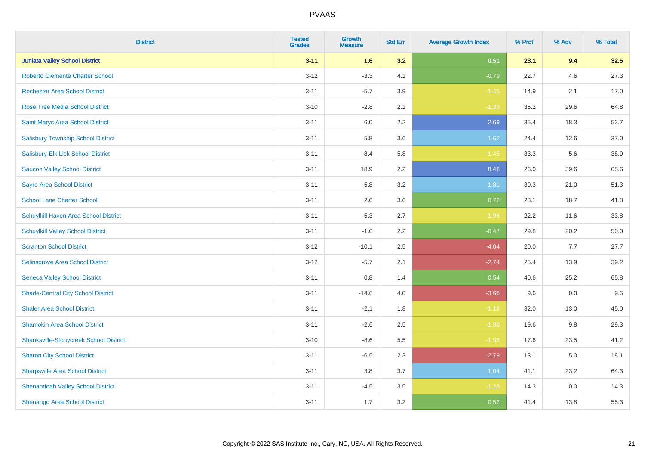| <b>District</b>                               | <b>Tested</b><br><b>Grades</b> | <b>Growth</b><br><b>Measure</b> | <b>Std Err</b> | <b>Average Growth Index</b> | % Prof | % Adv | % Total |
|-----------------------------------------------|--------------------------------|---------------------------------|----------------|-----------------------------|--------|-------|---------|
| <b>Juniata Valley School District</b>         | $3 - 11$                       | 1.6                             | 3.2            | 0.51                        | 23.1   | 9.4   | 32.5    |
| <b>Roberto Clemente Charter School</b>        | $3 - 12$                       | $-3.3$                          | 4.1            | $-0.79$                     | 22.7   | 4.6   | 27.3    |
| <b>Rochester Area School District</b>         | $3 - 11$                       | $-5.7$                          | 3.9            | $-1.45$                     | 14.9   | 2.1   | 17.0    |
| Rose Tree Media School District               | $3 - 10$                       | $-2.8$                          | 2.1            | $-1.33$                     | 35.2   | 29.6  | 64.8    |
| Saint Marys Area School District              | $3 - 11$                       | 6.0                             | 2.2            | 2.69                        | 35.4   | 18.3  | 53.7    |
| <b>Salisbury Township School District</b>     | $3 - 11$                       | 5.8                             | 3.6            | 1.62                        | 24.4   | 12.6  | 37.0    |
| Salisbury-Elk Lick School District            | $3 - 11$                       | $-8.4$                          | 5.8            | $-1.45$                     | 33.3   | 5.6   | 38.9    |
| <b>Saucon Valley School District</b>          | $3 - 11$                       | 18.9                            | 2.2            | 8.48                        | 26.0   | 39.6  | 65.6    |
| <b>Sayre Area School District</b>             | $3 - 11$                       | 5.8                             | 3.2            | 1.81                        | 30.3   | 21.0  | 51.3    |
| <b>School Lane Charter School</b>             | $3 - 11$                       | 2.6                             | 3.6            | 0.72                        | 23.1   | 18.7  | 41.8    |
| Schuylkill Haven Area School District         | $3 - 11$                       | $-5.3$                          | 2.7            | $-1.96$                     | 22.2   | 11.6  | 33.8    |
| <b>Schuylkill Valley School District</b>      | $3 - 11$                       | $-1.0$                          | 2.2            | $-0.47$                     | 29.8   | 20.2  | 50.0    |
| <b>Scranton School District</b>               | $3 - 12$                       | $-10.1$                         | 2.5            | $-4.04$                     | 20.0   | 7.7   | 27.7    |
| Selinsgrove Area School District              | $3 - 12$                       | $-5.7$                          | 2.1            | $-2.74$                     | 25.4   | 13.9  | 39.2    |
| <b>Seneca Valley School District</b>          | $3 - 11$                       | $0.8\,$                         | 1.4            | 0.54                        | 40.6   | 25.2  | 65.8    |
| <b>Shade-Central City School District</b>     | $3 - 11$                       | $-14.6$                         | 4.0            | $-3.68$                     | 9.6    | 0.0   | 9.6     |
| <b>Shaler Area School District</b>            | $3 - 11$                       | $-2.1$                          | 1.8            | $-1.18$                     | 32.0   | 13.0  | 45.0    |
| <b>Shamokin Area School District</b>          | $3 - 11$                       | $-2.6$                          | 2.5            | $-1.06$                     | 19.6   | 9.8   | 29.3    |
| <b>Shanksville-Stonycreek School District</b> | $3 - 10$                       | $-8.6$                          | 5.5            | $-1.55$                     | 17.6   | 23.5  | 41.2    |
| <b>Sharon City School District</b>            | $3 - 11$                       | $-6.5$                          | 2.3            | $-2.79$                     | 13.1   | 5.0   | 18.1    |
| <b>Sharpsville Area School District</b>       | $3 - 11$                       | 3.8                             | 3.7            | 1.04                        | 41.1   | 23.2  | 64.3    |
| <b>Shenandoah Valley School District</b>      | $3 - 11$                       | $-4.5$                          | 3.5            | $-1.29$                     | 14.3   | 0.0   | 14.3    |
| Shenango Area School District                 | $3 - 11$                       | 1.7                             | 3.2            | 0.52                        | 41.4   | 13.8  | 55.3    |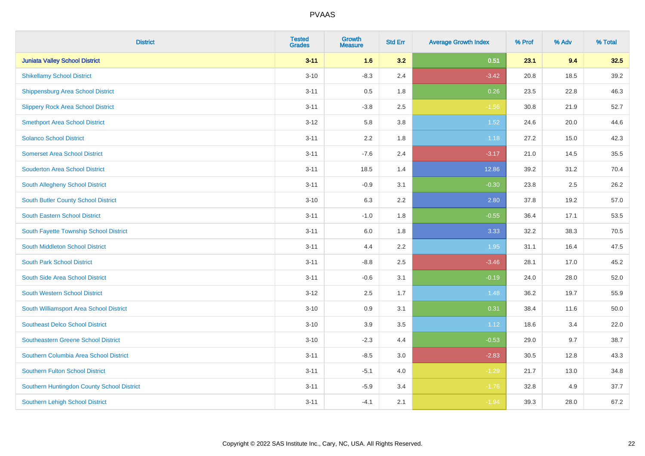| <b>District</b>                            | <b>Tested</b><br><b>Grades</b> | <b>Growth</b><br><b>Measure</b> | <b>Std Err</b> | <b>Average Growth Index</b> | % Prof | % Adv | % Total |
|--------------------------------------------|--------------------------------|---------------------------------|----------------|-----------------------------|--------|-------|---------|
| <b>Juniata Valley School District</b>      | $3 - 11$                       | 1.6                             | 3.2            | 0.51                        | 23.1   | 9.4   | 32.5    |
| <b>Shikellamy School District</b>          | $3 - 10$                       | $-8.3$                          | 2.4            | $-3.42$                     | 20.8   | 18.5  | 39.2    |
| <b>Shippensburg Area School District</b>   | $3 - 11$                       | 0.5                             | 1.8            | 0.26                        | 23.5   | 22.8  | 46.3    |
| <b>Slippery Rock Area School District</b>  | $3 - 11$                       | $-3.8$                          | 2.5            | $-1.56$                     | 30.8   | 21.9  | 52.7    |
| <b>Smethport Area School District</b>      | $3 - 12$                       | 5.8                             | 3.8            | 1.52                        | 24.6   | 20.0  | 44.6    |
| <b>Solanco School District</b>             | $3 - 11$                       | 2.2                             | 1.8            | 1.18                        | 27.2   | 15.0  | 42.3    |
| <b>Somerset Area School District</b>       | $3 - 11$                       | $-7.6$                          | 2.4            | $-3.17$                     | 21.0   | 14.5  | 35.5    |
| <b>Souderton Area School District</b>      | $3 - 11$                       | 18.5                            | 1.4            | 12.86                       | 39.2   | 31.2  | 70.4    |
| South Allegheny School District            | $3 - 11$                       | $-0.9$                          | 3.1            | $-0.30$                     | 23.8   | 2.5   | 26.2    |
| South Butler County School District        | $3 - 10$                       | 6.3                             | 2.2            | 2.80                        | 37.8   | 19.2  | 57.0    |
| <b>South Eastern School District</b>       | $3 - 11$                       | $-1.0$                          | 1.8            | $-0.55$                     | 36.4   | 17.1  | 53.5    |
| South Fayette Township School District     | $3 - 11$                       | 6.0                             | 1.8            | 3.33                        | 32.2   | 38.3  | 70.5    |
| South Middleton School District            | $3 - 11$                       | 4.4                             | 2.2            | 1.95                        | 31.1   | 16.4  | 47.5    |
| <b>South Park School District</b>          | $3 - 11$                       | $-8.8$                          | 2.5            | $-3.46$                     | 28.1   | 17.0  | 45.2    |
| South Side Area School District            | $3 - 11$                       | $-0.6$                          | 3.1            | $-0.19$                     | 24.0   | 28.0  | 52.0    |
| <b>South Western School District</b>       | $3 - 12$                       | 2.5                             | 1.7            | 1.48                        | 36.2   | 19.7  | 55.9    |
| South Williamsport Area School District    | $3 - 10$                       | 0.9                             | 3.1            | 0.31                        | 38.4   | 11.6  | 50.0    |
| <b>Southeast Delco School District</b>     | $3 - 10$                       | 3.9                             | 3.5            | 1.12                        | 18.6   | 3.4   | 22.0    |
| <b>Southeastern Greene School District</b> | $3 - 10$                       | $-2.3$                          | 4.4            | $-0.53$                     | 29.0   | 9.7   | 38.7    |
| Southern Columbia Area School District     | $3 - 11$                       | $-8.5$                          | 3.0            | $-2.83$                     | 30.5   | 12.8  | 43.3    |
| <b>Southern Fulton School District</b>     | $3 - 11$                       | $-5.1$                          | 4.0            | $-1.29$                     | 21.7   | 13.0  | 34.8    |
| Southern Huntingdon County School District | $3 - 11$                       | $-5.9$                          | 3.4            | $-1.76$                     | 32.8   | 4.9   | 37.7    |
| <b>Southern Lehigh School District</b>     | $3 - 11$                       | $-4.1$                          | 2.1            | $-1.94$                     | 39.3   | 28.0  | 67.2    |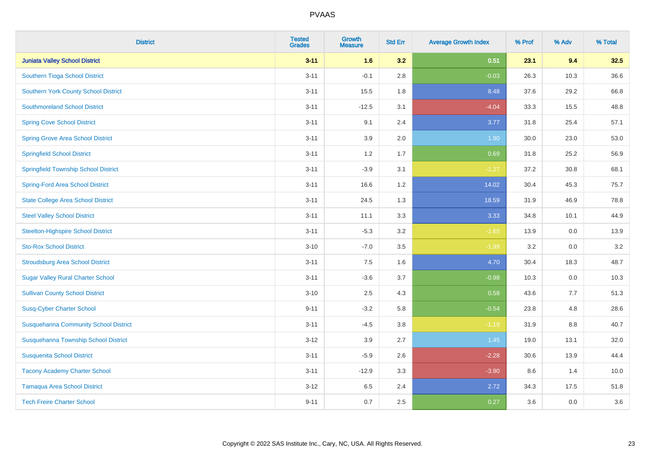| <b>District</b>                              | <b>Tested</b><br><b>Grades</b> | <b>Growth</b><br><b>Measure</b> | <b>Std Err</b> | <b>Average Growth Index</b> | % Prof | % Adv | % Total |
|----------------------------------------------|--------------------------------|---------------------------------|----------------|-----------------------------|--------|-------|---------|
| <b>Juniata Valley School District</b>        | $3 - 11$                       | 1.6                             | 3.2            | 0.51                        | 23.1   | 9.4   | 32.5    |
| Southern Tioga School District               | $3 - 11$                       | $-0.1$                          | 2.8            | $-0.03$                     | 26.3   | 10.3  | 36.6    |
| <b>Southern York County School District</b>  | $3 - 11$                       | 15.5                            | 1.8            | 8.48                        | 37.6   | 29.2  | 66.8    |
| <b>Southmoreland School District</b>         | $3 - 11$                       | $-12.5$                         | 3.1            | $-4.04$                     | 33.3   | 15.5  | 48.8    |
| <b>Spring Cove School District</b>           | $3 - 11$                       | 9.1                             | 2.4            | 3.77                        | 31.8   | 25.4  | 57.1    |
| <b>Spring Grove Area School District</b>     | $3 - 11$                       | 3.9                             | 2.0            | 1.90                        | 30.0   | 23.0  | 53.0    |
| <b>Springfield School District</b>           | $3 - 11$                       | 1.2                             | 1.7            | 0.69                        | 31.8   | 25.2  | 56.9    |
| <b>Springfield Township School District</b>  | $3 - 11$                       | $-3.9$                          | 3.1            | $-1.27$                     | 37.2   | 30.8  | 68.1    |
| <b>Spring-Ford Area School District</b>      | $3 - 11$                       | 16.6                            | 1.2            | 14.02                       | 30.4   | 45.3  | 75.7    |
| <b>State College Area School District</b>    | $3 - 11$                       | 24.5                            | 1.3            | 18.59                       | 31.9   | 46.9  | 78.8    |
| <b>Steel Valley School District</b>          | $3 - 11$                       | 11.1                            | 3.3            | 3.33                        | 34.8   | 10.1  | 44.9    |
| <b>Steelton-Highspire School District</b>    | $3 - 11$                       | $-5.3$                          | 3.2            | $-1.65$                     | 13.9   | 0.0   | 13.9    |
| <b>Sto-Rox School District</b>               | $3 - 10$                       | $-7.0$                          | 3.5            | $-1.99$                     | 3.2    | 0.0   | 3.2     |
| <b>Stroudsburg Area School District</b>      | $3 - 11$                       | $7.5\,$                         | 1.6            | 4.70                        | 30.4   | 18.3  | 48.7    |
| <b>Sugar Valley Rural Charter School</b>     | $3 - 11$                       | $-3.6$                          | 3.7            | $-0.98$                     | 10.3   | 0.0   | 10.3    |
| <b>Sullivan County School District</b>       | $3 - 10$                       | 2.5                             | 4.3            | 0.58                        | 43.6   | 7.7   | 51.3    |
| <b>Susq-Cyber Charter School</b>             | $9 - 11$                       | $-3.2$                          | 5.8            | $-0.54$                     | 23.8   | 4.8   | 28.6    |
| <b>Susquehanna Community School District</b> | $3 - 11$                       | $-4.5$                          | 3.8            | $-1.19$                     | 31.9   | 8.8   | 40.7    |
| Susquehanna Township School District         | $3 - 12$                       | 3.9                             | 2.7            | 1.45                        | 19.0   | 13.1  | 32.0    |
| <b>Susquenita School District</b>            | $3 - 11$                       | $-5.9$                          | 2.6            | $-2.28$                     | 30.6   | 13.9  | 44.4    |
| <b>Tacony Academy Charter School</b>         | $3 - 11$                       | $-12.9$                         | 3.3            | $-3.90$                     | 8.6    | 1.4   | 10.0    |
| <b>Tamaqua Area School District</b>          | $3 - 12$                       | 6.5                             | 2.4            | 2.72                        | 34.3   | 17.5  | 51.8    |
| <b>Tech Freire Charter School</b>            | $9 - 11$                       | 0.7                             | 2.5            | 0.27                        | 3.6    | 0.0   | 3.6     |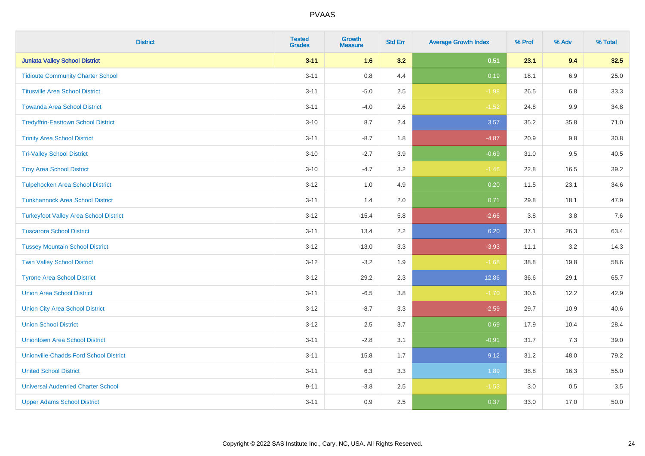| <b>District</b>                               | <b>Tested</b><br><b>Grades</b> | <b>Growth</b><br><b>Measure</b> | <b>Std Err</b> | <b>Average Growth Index</b> | % Prof | % Adv   | % Total |
|-----------------------------------------------|--------------------------------|---------------------------------|----------------|-----------------------------|--------|---------|---------|
| <b>Juniata Valley School District</b>         | $3 - 11$                       | 1.6                             | 3.2            | 0.51                        | 23.1   | 9.4     | 32.5    |
| <b>Tidioute Community Charter School</b>      | $3 - 11$                       | 0.8                             | 4.4            | 0.19                        | 18.1   | 6.9     | 25.0    |
| <b>Titusville Area School District</b>        | $3 - 11$                       | $-5.0$                          | 2.5            | $-1.98$                     | 26.5   | 6.8     | 33.3    |
| <b>Towanda Area School District</b>           | $3 - 11$                       | $-4.0$                          | 2.6            | $-1.52$                     | 24.8   | 9.9     | 34.8    |
| <b>Tredyffrin-Easttown School District</b>    | $3 - 10$                       | 8.7                             | 2.4            | 3.57                        | 35.2   | 35.8    | 71.0    |
| <b>Trinity Area School District</b>           | $3 - 11$                       | $-8.7$                          | 1.8            | $-4.87$                     | 20.9   | 9.8     | 30.8    |
| <b>Tri-Valley School District</b>             | $3 - 10$                       | $-2.7$                          | 3.9            | $-0.69$                     | 31.0   | 9.5     | 40.5    |
| <b>Troy Area School District</b>              | $3 - 10$                       | $-4.7$                          | 3.2            | $-1.46$                     | 22.8   | 16.5    | 39.2    |
| <b>Tulpehocken Area School District</b>       | $3 - 12$                       | 1.0                             | 4.9            | 0.20                        | 11.5   | 23.1    | 34.6    |
| <b>Tunkhannock Area School District</b>       | $3 - 11$                       | 1.4                             | 2.0            | 0.71                        | 29.8   | 18.1    | 47.9    |
| <b>Turkeyfoot Valley Area School District</b> | $3 - 12$                       | $-15.4$                         | 5.8            | $-2.66$                     | 3.8    | 3.8     | 7.6     |
| <b>Tuscarora School District</b>              | $3 - 11$                       | 13.4                            | 2.2            | 6.20                        | 37.1   | 26.3    | 63.4    |
| <b>Tussey Mountain School District</b>        | $3 - 12$                       | $-13.0$                         | 3.3            | $-3.93$                     | 11.1   | $3.2\,$ | 14.3    |
| <b>Twin Valley School District</b>            | $3 - 12$                       | $-3.2$                          | 1.9            | $-1.68$                     | 38.8   | 19.8    | 58.6    |
| <b>Tyrone Area School District</b>            | $3 - 12$                       | 29.2                            | 2.3            | 12.86                       | 36.6   | 29.1    | 65.7    |
| <b>Union Area School District</b>             | $3 - 11$                       | $-6.5$                          | $3.8\,$        | $-1.70$                     | 30.6   | 12.2    | 42.9    |
| <b>Union City Area School District</b>        | $3 - 12$                       | $-8.7$                          | 3.3            | $-2.59$                     | 29.7   | 10.9    | 40.6    |
| <b>Union School District</b>                  | $3 - 12$                       | 2.5                             | 3.7            | 0.69                        | 17.9   | 10.4    | 28.4    |
| <b>Uniontown Area School District</b>         | $3 - 11$                       | $-2.8$                          | 3.1            | $-0.91$                     | 31.7   | $7.3$   | 39.0    |
| <b>Unionville-Chadds Ford School District</b> | $3 - 11$                       | 15.8                            | 1.7            | 9.12                        | 31.2   | 48.0    | 79.2    |
| <b>United School District</b>                 | $3 - 11$                       | 6.3                             | 3.3            | 1.89                        | 38.8   | 16.3    | 55.0    |
| <b>Universal Audenried Charter School</b>     | $9 - 11$                       | $-3.8$                          | 2.5            | $-1.53$                     | 3.0    | $0.5\,$ | 3.5     |
| <b>Upper Adams School District</b>            | $3 - 11$                       | 0.9                             | 2.5            | 0.37                        | 33.0   | 17.0    | 50.0    |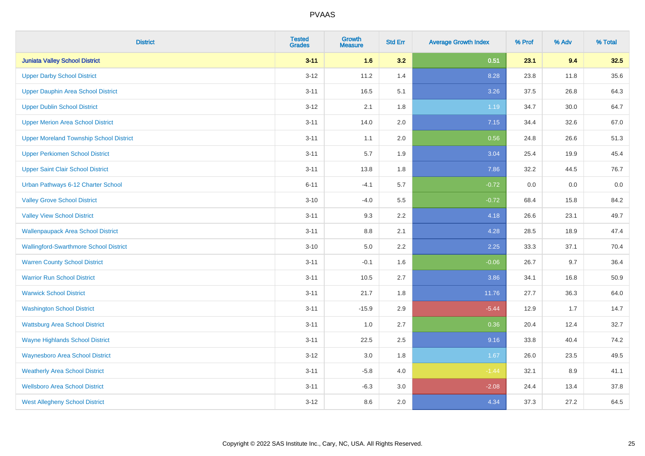| <b>District</b>                                | <b>Tested</b><br><b>Grades</b> | <b>Growth</b><br><b>Measure</b> | <b>Std Err</b> | <b>Average Growth Index</b> | % Prof | % Adv | % Total |
|------------------------------------------------|--------------------------------|---------------------------------|----------------|-----------------------------|--------|-------|---------|
| <b>Juniata Valley School District</b>          | $3 - 11$                       | 1.6                             | 3.2            | 0.51                        | 23.1   | 9.4   | 32.5    |
| <b>Upper Darby School District</b>             | $3 - 12$                       | 11.2                            | 1.4            | 8.28                        | 23.8   | 11.8  | 35.6    |
| <b>Upper Dauphin Area School District</b>      | $3 - 11$                       | 16.5                            | 5.1            | 3.26                        | 37.5   | 26.8  | 64.3    |
| <b>Upper Dublin School District</b>            | $3 - 12$                       | 2.1                             | 1.8            | 1.19                        | 34.7   | 30.0  | 64.7    |
| <b>Upper Merion Area School District</b>       | $3 - 11$                       | 14.0                            | 2.0            | 7.15                        | 34.4   | 32.6  | 67.0    |
| <b>Upper Moreland Township School District</b> | $3 - 11$                       | 1.1                             | 2.0            | 0.56                        | 24.8   | 26.6  | 51.3    |
| <b>Upper Perkiomen School District</b>         | $3 - 11$                       | 5.7                             | 1.9            | 3.04                        | 25.4   | 19.9  | 45.4    |
| <b>Upper Saint Clair School District</b>       | $3 - 11$                       | 13.8                            | 1.8            | 7.86                        | 32.2   | 44.5  | 76.7    |
| Urban Pathways 6-12 Charter School             | $6 - 11$                       | $-4.1$                          | 5.7            | $-0.72$                     | 0.0    | 0.0   | $0.0\,$ |
| <b>Valley Grove School District</b>            | $3 - 10$                       | $-4.0$                          | 5.5            | $-0.72$                     | 68.4   | 15.8  | 84.2    |
| <b>Valley View School District</b>             | $3 - 11$                       | 9.3                             | 2.2            | 4.18                        | 26.6   | 23.1  | 49.7    |
| <b>Wallenpaupack Area School District</b>      | $3 - 11$                       | 8.8                             | 2.1            | 4.28                        | 28.5   | 18.9  | 47.4    |
| <b>Wallingford-Swarthmore School District</b>  | $3 - 10$                       | $5.0\,$                         | 2.2            | 2.25                        | 33.3   | 37.1  | 70.4    |
| <b>Warren County School District</b>           | $3 - 11$                       | $-0.1$                          | 1.6            | $-0.06$                     | 26.7   | 9.7   | 36.4    |
| <b>Warrior Run School District</b>             | $3 - 11$                       | 10.5                            | 2.7            | 3.86                        | 34.1   | 16.8  | 50.9    |
| <b>Warwick School District</b>                 | $3 - 11$                       | 21.7                            | 1.8            | 11.76                       | 27.7   | 36.3  | 64.0    |
| <b>Washington School District</b>              | $3 - 11$                       | $-15.9$                         | 2.9            | $-5.44$                     | 12.9   | 1.7   | 14.7    |
| <b>Wattsburg Area School District</b>          | $3 - 11$                       | 1.0                             | 2.7            | 0.36                        | 20.4   | 12.4  | 32.7    |
| <b>Wayne Highlands School District</b>         | $3 - 11$                       | 22.5                            | 2.5            | 9.16                        | 33.8   | 40.4  | 74.2    |
| <b>Waynesboro Area School District</b>         | $3 - 12$                       | 3.0                             | 1.8            | 1.67                        | 26.0   | 23.5  | 49.5    |
| <b>Weatherly Area School District</b>          | $3 - 11$                       | $-5.8$                          | 4.0            | $-1.44$                     | 32.1   | 8.9   | 41.1    |
| <b>Wellsboro Area School District</b>          | $3 - 11$                       | $-6.3$                          | 3.0            | $-2.08$                     | 24.4   | 13.4  | 37.8    |
| <b>West Allegheny School District</b>          | $3 - 12$                       | 8.6                             | 2.0            | 4.34                        | 37.3   | 27.2  | 64.5    |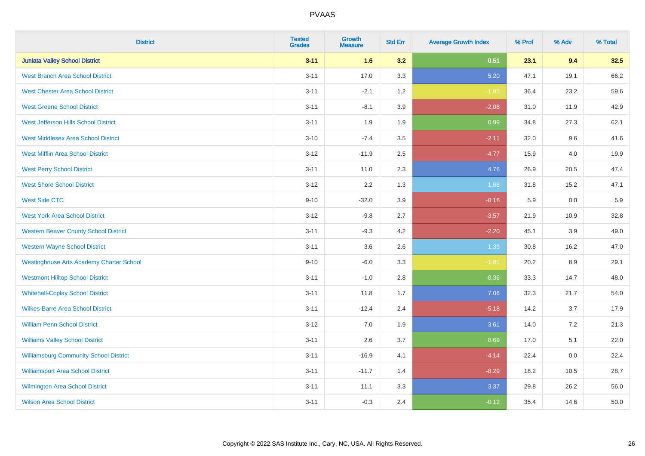| <b>District</b>                                 | <b>Tested</b><br><b>Grades</b> | <b>Growth</b><br><b>Measure</b> | <b>Std Err</b> | <b>Average Growth Index</b> | % Prof | % Adv | % Total |
|-------------------------------------------------|--------------------------------|---------------------------------|----------------|-----------------------------|--------|-------|---------|
| <b>Juniata Valley School District</b>           | $3 - 11$                       | 1.6                             | 3.2            | 0.51                        | 23.1   | 9.4   | 32.5    |
| <b>West Branch Area School District</b>         | $3 - 11$                       | 17.0                            | 3.3            | 5.20                        | 47.1   | 19.1  | 66.2    |
| <b>West Chester Area School District</b>        | $3 - 11$                       | $-2.1$                          | 1.2            | $-1.83$                     | 36.4   | 23.2  | 59.6    |
| <b>West Greene School District</b>              | $3 - 11$                       | $-8.1$                          | 3.9            | $-2.08$                     | 31.0   | 11.9  | 42.9    |
| West Jefferson Hills School District            | $3 - 11$                       | 1.9                             | 1.9            | 0.99                        | 34.8   | 27.3  | 62.1    |
| <b>West Middlesex Area School District</b>      | $3 - 10$                       | $-7.4$                          | 3.5            | $-2.11$                     | 32.0   | 9.6   | 41.6    |
| <b>West Mifflin Area School District</b>        | $3 - 12$                       | $-11.9$                         | 2.5            | $-4.77$                     | 15.9   | 4.0   | 19.9    |
| <b>West Perry School District</b>               | $3 - 11$                       | 11.0                            | 2.3            | 4.76                        | 26.9   | 20.5  | 47.4    |
| <b>West Shore School District</b>               | $3 - 12$                       | 2.2                             | 1.3            | 1.68                        | 31.8   | 15.2  | 47.1    |
| <b>West Side CTC</b>                            | $9 - 10$                       | $-32.0$                         | 3.9            | $-8.16$                     | 5.9    | 0.0   | 5.9     |
| <b>West York Area School District</b>           | $3 - 12$                       | $-9.8$                          | 2.7            | $-3.57$                     | 21.9   | 10.9  | 32.8    |
| <b>Western Beaver County School District</b>    | $3 - 11$                       | $-9.3$                          | 4.2            | $-2.20$                     | 45.1   | 3.9   | 49.0    |
| <b>Western Wayne School District</b>            | $3 - 11$                       | 3.6                             | 2.6            | 1.39                        | 30.8   | 16.2  | 47.0    |
| <b>Westinghouse Arts Academy Charter School</b> | $9 - 10$                       | $-6.0$                          | 3.3            | $-1.81$                     | 20.2   | 8.9   | 29.1    |
| <b>Westmont Hilltop School District</b>         | $3 - 11$                       | $-1.0$                          | 2.8            | $-0.36$                     | 33.3   | 14.7  | 48.0    |
| <b>Whitehall-Coplay School District</b>         | $3 - 11$                       | 11.8                            | 1.7            | 7.06                        | 32.3   | 21.7  | 54.0    |
| <b>Wilkes-Barre Area School District</b>        | $3 - 11$                       | $-12.4$                         | 2.4            | $-5.18$                     | 14.2   | 3.7   | 17.9    |
| <b>William Penn School District</b>             | $3 - 12$                       | 7.0                             | 1.9            | 3.61                        | 14.0   | 7.2   | 21.3    |
| <b>Williams Valley School District</b>          | $3 - 11$                       | 2.6                             | 3.7            | 0.69                        | 17.0   | 5.1   | 22.0    |
| <b>Williamsburg Community School District</b>   | $3 - 11$                       | $-16.9$                         | 4.1            | $-4.14$                     | 22.4   | 0.0   | 22.4    |
| <b>Williamsport Area School District</b>        | $3 - 11$                       | $-11.7$                         | 1.4            | $-8.29$                     | 18.2   | 10.5  | 28.7    |
| Wilmington Area School District                 | $3 - 11$                       | 11.1                            | 3.3            | 3.37                        | 29.8   | 26.2  | 56.0    |
| <b>Wilson Area School District</b>              | $3 - 11$                       | $-0.3$                          | 2.4            | $-0.12$                     | 35.4   | 14.6  | 50.0    |